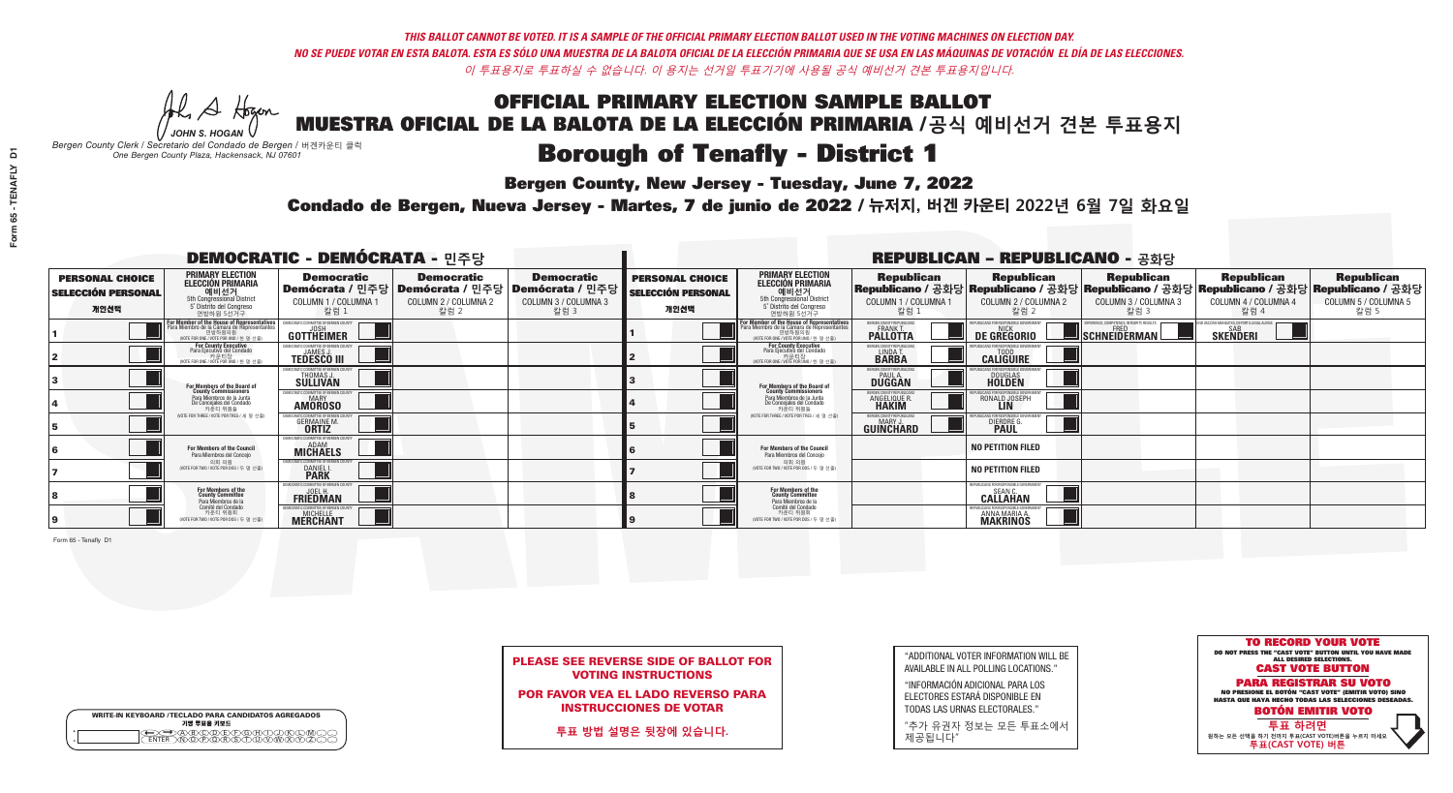**Bergen County, New Jersey - Tuesday, June 7, 2022** 

A Hogen *JOHN S. HOGAN*

| <b>WRITE-IN KEYBOARD /TECLADO PARA CANDIDATOS AGREGADOS</b><br>기명 투표용 키보드 |  |
|---------------------------------------------------------------------------|--|
| @®©®®®®®™©®<br>™®®®®®®™™®®                                                |  |

*Bergen County Clerk / Secretario del Condado de Bergen /* 버겐카운티 클럭 *One Bergen County Plaza, Hackensack, NJ 07601*



PLEASE SEE REVERSE SIDE OF BALLOT FOR VOTING INSTRUCTIONS

POR FAVOR VEA EL LADO REVERSO PARA INSTRUCCIONES DE VOTAR

**투표 방법 설명은 뒷장에 있습니다.**

"ADDITIONAL VOTER INFORMATION WILL BE AVAILABLE IN ALL POLLING LOCATIONS."

"INFORMACIÓN ADICIONAL PARA LOS ELECTORES ESTARÁ DISPONIBLE EN TODAS LAS URNAS ELECTORALES."

"추가 유권자 정보는 모든 투표소에서 제공됩니다"

Condado de Bergen, Nueva Jersey - Martes, 7 de junio de 2022 / 뉴저지, 버겐 카운티 2022년 6월 7일 화요일 *One Bergen County Plaza, Hackensack, NJ 07601*

| <b>DEMOCRATIC - DEMÓCRATA - 민주당</b>                         |                                                                                                                                               |                                                                                  |                                                   |                                                                                                        |                                                             |                                                                                                                                   |                                                            | <b>REPUBLICAN - REPUBLICANO - 공화당</b>                                                                                                          |                                                                                               |                                                           |                                                   |
|-------------------------------------------------------------|-----------------------------------------------------------------------------------------------------------------------------------------------|----------------------------------------------------------------------------------|---------------------------------------------------|--------------------------------------------------------------------------------------------------------|-------------------------------------------------------------|-----------------------------------------------------------------------------------------------------------------------------------|------------------------------------------------------------|------------------------------------------------------------------------------------------------------------------------------------------------|-----------------------------------------------------------------------------------------------|-----------------------------------------------------------|---------------------------------------------------|
| <b>PERSONAL CHOICE</b><br><b>SELECCIÓN PERSONAL</b><br>개인선택 | <b>PRIMARY ELECTION</b><br><b>ELECCIÓN PRIMARIA</b><br>예비선거<br>5th Congressional District<br>5° Distrito del Congreso<br>연방하원 5선거구            | <b>Democratic</b><br>COLUMN 1 / COLUMNA 1<br>칼럼 1                                | <b>Democratic</b><br>COLUMN 2 / COLUMNA 2<br>칼럼 2 | <b>Democratic</b><br>│Demócrata / 민주당│Demócrata / 민주당│Demócrata / 민주당│<br>COLUMN 3 / COLUMNA 3<br>칼럼 3 | <b>PERSONAL CHOICE</b><br><b>SELECCIÓN PERSONAL</b><br>개인선택 | <b>PRIMARY ELECTION</b><br>ELECCIÓN PRIMARIA<br>5th Congressional District<br>5° Distrito del Congreso<br>연방하원 5선거구               | <b>Republican</b><br>COLUMN 1 / COLUMNA 1<br>, 칼럼 :        | <b>Republican</b><br>Republicano / 공화당 Republicano / 공화당 Republicano / 공화당 Republicano / 공화당 Republicano / 공화당<br>COLUMN 2 / COLUMNA 2<br>칼럼 2 | <b>Republican</b><br>COLUMN 3 / COLUMNA 3<br>칼럼 3                                             | <b>Republican</b><br>COLUMN 4 / COLUMNA 4<br>칼럼 4         | <b>Republican</b><br>COLUMN 5 / COLUMNA 5<br>칼럼 5 |
|                                                             | For Member of the House of Representatives<br>Para Miembro de la Cámara de Representantes<br>연방하원의원<br>(VOTE FOR ONE / VOTE POR UNO / 한 명 선출) | EMOCRATIC COMMITTEE OF BERGEN (<br>GOTTHEIMER                                    |                                                   |                                                                                                        |                                                             | For Member of the House of Representatives<br>Para Miembro de la Cámara de Representantes<br>WOTE FOR ONE / VOTE POR UNO / 한 명 선출 | BERGEN COUNTY REPUBLICAN<br><b>PALLOTTA</b>                | DE GREGORIO                                                                                                                                    | 'ERIENCE. COMPETENCE. INTEGRITY. RESUL'<br>$\blacksquare$ Schneiderman $\mathbin{\mathbb{I}}$ | VACCINE MANDATES, DEPORT ILLEGAL ALIEN<br><b>SKENDERI</b> |                                                   |
|                                                             | For County Executive<br>Para Ejecutivo del Condado<br>가운티장<br>(VOTE FOR ONE / VOTE POR UNO / 한 명 선출)                                          | JEMOCRATIC COMMITTEE OF BERGEN COUNTY<br><b>TEDESCO III</b>                      |                                                   |                                                                                                        |                                                             | For County Executive<br>Para Ejecutivo del Condado<br>카운티장<br>(VOTE FOR ONE / VOTE POR UNO / 한 명 선출                               | BERGEN COUNTY REPUBLICAN<br>LINDA T.                       | <b>CALIGUIRE</b>                                                                                                                               |                                                                                               |                                                           |                                                   |
|                                                             | For Members of the Board of<br>County Commissioners                                                                                           | EMOCRATIC COMMITTEE OF BERGEN COUNT<br>THOMAS J.                                 |                                                   |                                                                                                        |                                                             | For Members of the Board of<br>County Commissioners                                                                               | ERGEN COUNTY REPUBLICAN<br><b>PAUL A.</b><br><b>DUGGAN</b> | <b>DOUGLAS</b>                                                                                                                                 |                                                                                               |                                                           |                                                   |
|                                                             | Para Miembros de la Junta<br>De Concejales del Condado<br>카우티 위원들                                                                             | MOCRATIC COMMITTEE OF BERGEN COUNTY<br><b>MARY</b><br><b>AMOROSO</b>             |                                                   |                                                                                                        |                                                             | Para Miembros de la Junta<br>De Concejales del Condado<br>카우티 위원들                                                                 | <b>FRGEN COUNTY REPUBLICA</b><br>ANGELIQUE R               | RONALD JOSEPH                                                                                                                                  |                                                                                               |                                                           |                                                   |
|                                                             | NOTE FOR THREE / VOTE POR TRES / 세 명 선출)                                                                                                      | ATIC COMMITTEE OF BERGEN COUNT<br><b>GERMAINE M.</b>                             |                                                   |                                                                                                        |                                                             | NOTE FOR THREE / VOTE POR TRES / 세 명 선출)                                                                                          | ERGEN COUNTY REPUBLICANS<br>MARY J<br>GUINCHARD            | <b>DIERDRE G</b><br><b>PAUL</b>                                                                                                                |                                                                                               |                                                           |                                                   |
|                                                             | For Members of the Council<br>Para Miembros del Conceio                                                                                       | EMOCRATIC COMMITTEE OF BERGEN COUNT<br><b>MICHAELS</b>                           |                                                   |                                                                                                        |                                                             | <b>For Members of the Council</b><br>Para Miembros del Conceio                                                                    |                                                            | <b>NO PETITION FILED</b>                                                                                                                       |                                                                                               |                                                           |                                                   |
|                                                             | 의회 의원<br>(VOTE FOR TWO / VOTE POR DOS / 두 명 선출)                                                                                               | EMOCRATIC COMMITTEE OF BERGEN COUNTY<br><b>DANIEL I.</b><br><b>PARK</b>          |                                                   |                                                                                                        |                                                             | 의회 의원<br>WOTE FOR TWO / VOTE POR DOS / 두 명 선출)                                                                                    |                                                            | <b>NO PETITION FILED</b>                                                                                                                       |                                                                                               |                                                           |                                                   |
|                                                             | For Members of the<br>County Committee<br>Para Miembros de la                                                                                 | MOCRATIC COMMITTEE OF BERGEN COL'<br><b>FRIEDMAN</b>                             |                                                   |                                                                                                        |                                                             | For Members of the<br>County Committee<br>Para Miembros de la<br>Comité del Condado                                               |                                                            | PUBLICANS FOR RESPONSIBLE GOVERNMENT:<br>SEAN C.<br><b>CALLAHAN</b>                                                                            |                                                                                               |                                                           |                                                   |
|                                                             | Comité del Condado<br>카운티 위원회<br>(VOTE FOR TWO / VOTE POR DOS / 두 명 선출)                                                                       | <b>FMOCRATIC COMMITTEE OF BERGEN COUNT</b><br><b>MICHELLE</b><br><b>MERCHANT</b> |                                                   |                                                                                                        |                                                             | 카운티 위원회<br>(VOTE FOR TWO / VOTE POR DOS / 두 명 선출)                                                                                 |                                                            | PUBLICANS FOR RESPONSIBLE GOVERNMEN<br><b>ANNA MARIA A.</b><br><b>MAKRINOS</b>                                                                 |                                                                                               |                                                           |                                                   |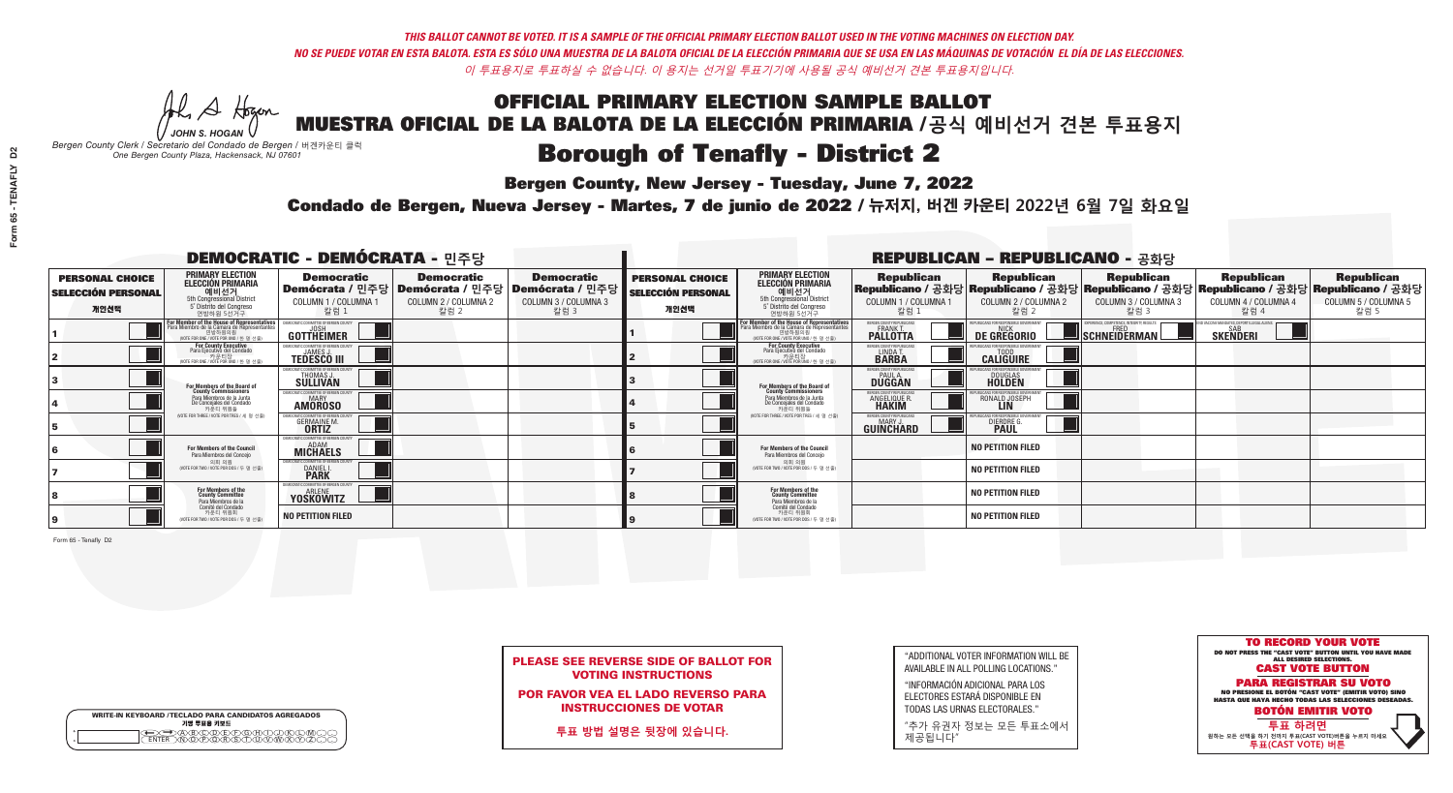**Bergen County, New Jersey - Tuesday, June 7, 2022** 

A Hogen *JOHN S. HOGAN*

|   | <b>WRITE-IN KEYBOARD /TECLADO PARA CANDIDATOS AGREGADOS</b><br>기명 투표용 키보드 |
|---|---------------------------------------------------------------------------|
| o | .)B)C)DE)F)G)H)                                                           |
| o | <u>እጅአል አል</u>                                                            |

*Bergen County Clerk / Secretario del Condado de Bergen /* 버겐카운티 클럭 *One Bergen County Plaza, Hackensack, NJ 07601*

Condado de Bergen, Nueva Jersey - Martes, 7 de junio de 2022 / 뉴저지, 버겐 카운티 2022년 6월 7일 화요일 *One Bergen County Plaza, Hackensack, NJ 07601*



PLEASE SEE REVERSE SIDE OF BALLOT FOR VOTING INSTRUCTIONS

POR FAVOR VEA EL LADO REVERSO PARA INSTRUCCIONES DE VOTAR

**투표 방법 설명은 뒷장에 있습니다.**

| "ADDITIONAL VOTER INFORMATION WILL BE |
|---------------------------------------|
| AVAILABLE IN ALL POLLING LOCATIONS."  |

"INFORMACIÓN ADICIONAL PARA LOS ELECTORES ESTARÁ DISPONIBLE EN TODAS LAS URNAS ELECTORALES."

"추가 유권자 정보는 모든 투표소에서 제공됩니다"

| <b>DEMOCRATIC - DEMÓCRATA - 민주당</b>                         |                                                                                                                                               |                                                                         |                                                   |                                                                                                        |                                                             |                                                                                                                                   |                                                            | <b>REPUBLICAN - REPUBLICANO - 공화당</b>                                                                                                          |                                                    |                                                           |                                                   |
|-------------------------------------------------------------|-----------------------------------------------------------------------------------------------------------------------------------------------|-------------------------------------------------------------------------|---------------------------------------------------|--------------------------------------------------------------------------------------------------------|-------------------------------------------------------------|-----------------------------------------------------------------------------------------------------------------------------------|------------------------------------------------------------|------------------------------------------------------------------------------------------------------------------------------------------------|----------------------------------------------------|-----------------------------------------------------------|---------------------------------------------------|
| <b>PERSONAL CHOICE</b><br><b>SELECCIÓN PERSONAL</b><br>개인선택 | <b>PRIMARY ELECTION</b><br><b>ELECCIÓN PRIMARIA</b><br>예비선거<br>5th Congressional District<br>5° Distrito del Congreso<br>연방하원 5선거구            | <b>Democratic</b><br>COLUMN 1 / COLUMNA 1<br>칼럼 1                       | <b>Democratic</b><br>COLUMN 2 / COLUMNA 2<br>칼럼 2 | <b>Democratic</b><br>│Demócrata / 민주당│Demócrata / 민주당│Demócrata / 민주당│<br>COLUMN 3 / COLUMNA 3<br>칼럼 3 | <b>PERSONAL CHOICE</b><br><b>SELECCIÓN PERSONAL</b><br>개인선택 | <b>PRIMARY ELECTION</b><br>ELECCIÓN PRIMARIA<br>5th Congressional District<br>5° Distrito del Congreso<br>연방하원 5선거구               | <b>Republican</b><br>COLUMN 1 / COLUMNA 1<br>, 칼럼 :        | <b>Republican</b><br>Republicano / 공화당 Republicano / 공화당 Republicano / 공화당 Republicano / 공화당 Republicano / 공화당<br>COLUMN 2 / COLUMNA 2<br>칼럼 2 | <b>Republican</b><br>COLUMN 3 / COLUMNA 3<br>칼럼 3  | <b>Republican</b><br>COLUMN 4 / COLUMNA 4<br>칼럼 4         | <b>Republican</b><br>COLUMN 5 / COLUMNA 5<br>칼럼 5 |
|                                                             | For Member of the House of Representatives<br>Para Miembro de la Cámara de Representantes<br>연방하원의원<br>(VOTE FOR ONE / VOTE POR UNO / 한 명 선출) | EMOCRATIC COMMITTEE OF BERGEN (<br>GOTTHEIMER                           |                                                   |                                                                                                        |                                                             | For Member of the House of Representatives<br>Para Miembro de la Cámara de Representantes<br>WOTE FOR ONE / VOTE POR UNO / 한 명 선출 | BERGEN COUNTY REPUBLICAN<br><b>PALLOTTA</b>                | DE GREGORIO                                                                                                                                    | $\blacksquare$ Schneiderman $\mathbin{\mathbb{I}}$ | VACCINE MANDATES, DEPORT ILLEGAL ALIEN<br><b>SKENDERI</b> |                                                   |
|                                                             | <b>For County Executive</b><br>Para Ejecutivo del Condado<br>가운티장<br>(VOTE FOR ONE / VOTE POR UNO / 한 명 선출)                                   | JEMOCRATIC COMMITTEE OF BERGEN COUNTY<br><b>TEDESCO III</b>             |                                                   |                                                                                                        |                                                             | For County Executive<br>Para Ejecutivo del Condado<br>카운티장<br>(VOTE FOR ONE / VOTE POR UNO / 한 명 선출                               | BERGEN COUNTY REPUBLICAN<br>LINDA T.                       | <b>CALIGUIRE</b>                                                                                                                               |                                                    |                                                           |                                                   |
|                                                             | For Members of the Board of<br>County Commissioners                                                                                           | EMOCRATIC COMMITTEE OF BERGEN COUNT<br>THOMAS J.                        |                                                   |                                                                                                        |                                                             | For Members of the Board of<br>County Commissioners                                                                               | ERGEN COUNTY REPUBLICAN<br><b>PAUL A.</b><br><b>DUGGAN</b> | <b>DOUGLAS</b>                                                                                                                                 |                                                    |                                                           |                                                   |
|                                                             | Para Miembros de la Junta<br>De Concejales del Condado<br>카우티 위원들                                                                             | MOCRATIC COMMITTEE OF BERGEN COUNTY<br><b>MARY</b><br><b>AMOROSO</b>    |                                                   |                                                                                                        |                                                             | Para Miembros de la Junta<br>De Concejales del Condado<br>카우티 위원들                                                                 | <b>FRGEN COUNTY REPUBLICAN</b><br>ANGELIQUE R              | RONALD JOSEPH                                                                                                                                  |                                                    |                                                           |                                                   |
|                                                             | NOTE FOR THREE / VOTE POR TRES / 세 명 선출)                                                                                                      | ATIC COMMITTEE OF BERGEN COUNT<br><b>GERMAINE M.</b>                    |                                                   |                                                                                                        |                                                             | NOTE FOR THREE / VOTE POR TRES / 세 명 선출)                                                                                          | ERGEN COUNTY REPUBLICANS<br>MARY J<br>GUINCHARD            | <b>DIERDRE G</b><br><b>PAUL</b>                                                                                                                |                                                    |                                                           |                                                   |
|                                                             | <b>For Members of the Council</b><br>Para Miembros del Conceio                                                                                | EMOCRATIC COMMITTEE OF BERGEN COUNT<br><b>MICHAELS</b>                  |                                                   |                                                                                                        |                                                             | <b>For Members of the Council</b><br>Para Miembros del Conceio                                                                    |                                                            | <b>NO PETITION FILED</b>                                                                                                                       |                                                    |                                                           |                                                   |
|                                                             | 의회 의원<br>(VOTE FOR TWO / VOTE POR DOS / 두 명 선출)                                                                                               | EMOCRATIC COMMITTEE OF BERGEN COUNTY<br><b>DANIEL I.</b><br><b>PARK</b> |                                                   |                                                                                                        |                                                             | 의회 의원<br>WOTE FOR TWO / VOTE POR DOS / 두 명 선출)                                                                                    |                                                            | <b>NO PETITION FILED</b>                                                                                                                       |                                                    |                                                           |                                                   |
|                                                             | For Members of the<br>County Committee<br>Para Miembros de la                                                                                 | OCRATIC COMMITTEE OF BERGEN COUN<br>ARLENE<br><b>YOSKOWITZ</b>          |                                                   |                                                                                                        |                                                             | For Members of the<br>County Committee<br>Para Miembros de la<br>Comité del Condado                                               |                                                            | <b>NO PETITION FILED</b>                                                                                                                       |                                                    |                                                           |                                                   |
|                                                             | Comité del Condado<br>카운티 위원회<br>(VOTE FOR TWO / VOTE POR DOS / 두 명 선출)                                                                       | <b>NO PETITION FILED</b>                                                |                                                   |                                                                                                        |                                                             | 카운티 위원회<br>(VOTE FOR TWO / VOTE POR DOS / 두 명 선출)                                                                                 |                                                            | <b>NO PETITION FILED</b>                                                                                                                       |                                                    |                                                           |                                                   |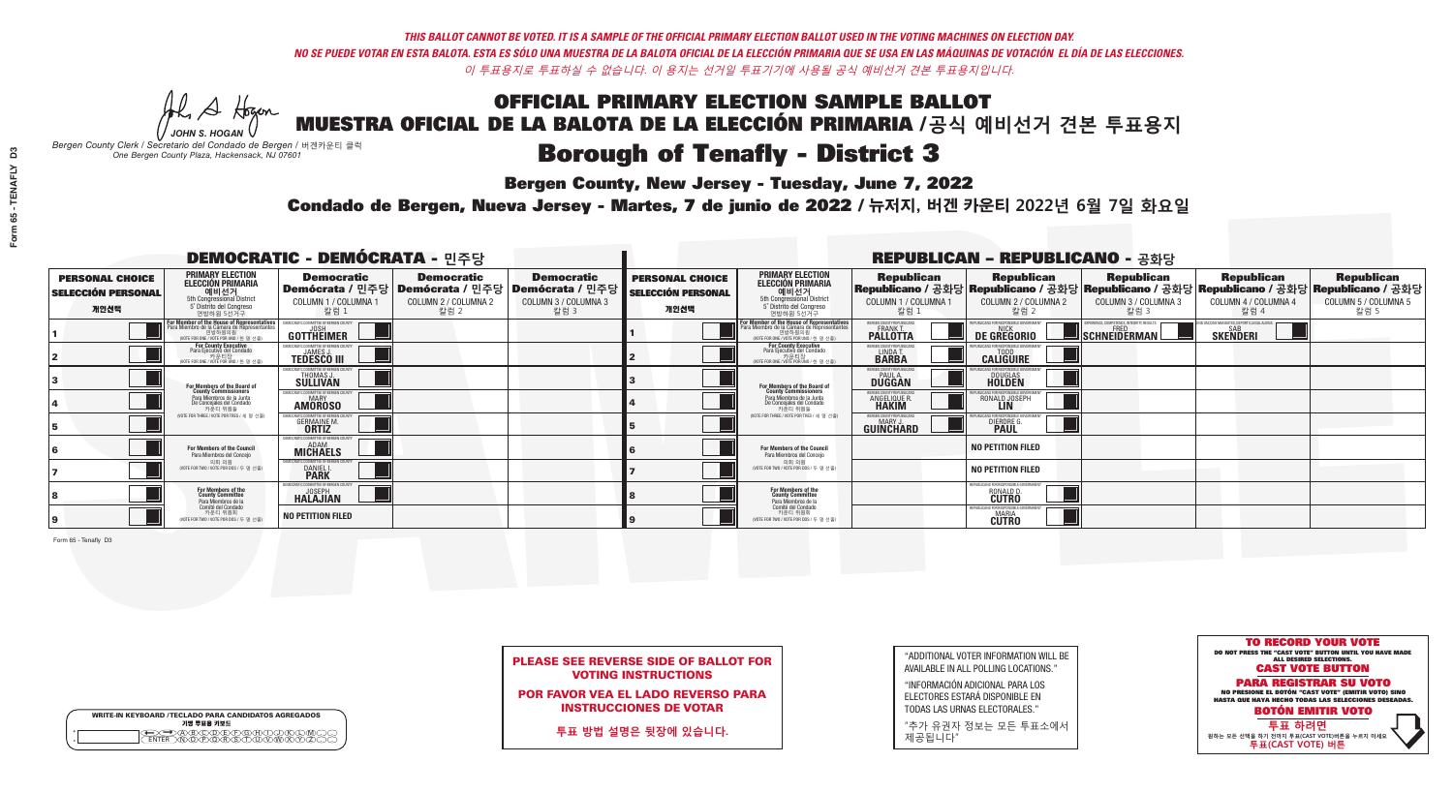**Bergen County, New Jersey - Tuesday, June 7, 2022** 

A Hogen *JOHN S. HOGAN*

|   | <b>WRITE-IN KEYBOARD /TECLADO PARA CANDIDATOS AGREGADOS</b><br>기명 투표용 키보드 |
|---|---------------------------------------------------------------------------|
| o | .)B)C)DE)F)G)H)                                                           |
| o | <u>እጅአል አል</u>                                                            |

*Bergen County Clerk / Secretario del Condado de Bergen /* 버겐카운티 클럭 *One Bergen County Plaza, Hackensack, NJ 07601*

Condado de Bergen, Nueva Jersey - Martes, 7 de junio de 2022 / 뉴저지, 버겐 카운티 2022년 6월 7일 화요일 *One Bergen County Plaza, Hackensack, NJ 07601*



PLEASE SEE REVERSE SIDE OF BALLOT FOR VOTING INSTRUCTIONS

POR FAVOR VEA EL LADO REVERSO PARA INSTRUCCIONES DE VOTAR

**투표 방법 설명은 뒷장에 있습니다.**

"ADDITIONAL VOTER INFORMATION WILL BE AVAILABLE IN ALL POLLING LOCATIONS."

"INFORMACIÓN ADICIONAL PARA LOS ELECTORES ESTARÁ DISPONIBLE EN TODAS LAS URNAS ELECTORALES."

"추가 유권자 정보는 모든 투표소에서 제공됩니다"

|                                                             |                                                                                                                                               | <b>DEMOCRATIC - DEMÓCRATA - 민주당</b>                                    |                                                   |                                                                                                        |                                                             |                                                                                                                                   |                                                              | <b>REPUBLICAN - REPUBLICANO - 공화당</b>              |                                                                                                                                                |                                                            |                                                   |
|-------------------------------------------------------------|-----------------------------------------------------------------------------------------------------------------------------------------------|------------------------------------------------------------------------|---------------------------------------------------|--------------------------------------------------------------------------------------------------------|-------------------------------------------------------------|-----------------------------------------------------------------------------------------------------------------------------------|--------------------------------------------------------------|----------------------------------------------------|------------------------------------------------------------------------------------------------------------------------------------------------|------------------------------------------------------------|---------------------------------------------------|
| <b>PERSONAL CHOICE</b><br><b>SELECCIÓN PERSONAL</b><br>개인선택 | <b>PRIMARY ELECTION</b><br><b>ELECCIÓN PRIMARIA</b><br>예비선거<br>5th Congressional District<br>5° Distrito del Congreso<br>연방하원 5선거구            | <b>Democratic</b><br>COLUMN 1 / COLUMNA 1<br>_ 칼럼 1                    | <b>Democratic</b><br>COLUMN 2 / COLUMNA 2<br>칼럼 2 | <b>Democratic</b><br>│Demócrata / 민주당│Demócrata / 민주당│Demócrata / 민주당│<br>COLUMN 3 / COLUMNA 3<br>칼럼 3 | <b>PERSONAL CHOICE</b><br><b>SELECCIÓN PERSONAL</b><br>개인선택 | <b>PRIMARY ELECTION</b><br><b>ELECCIÓN PRIMARIA</b><br>5th Congressional District<br>5° Distrito del Congreso<br>연방하원 5선거구        | <b>Republican</b><br>COLUMN 1 / COLUMNA 1<br>칼럼              | <b>Republican</b><br>COLUMN 2 / COLUMNA 2<br>칼럼 2  | <b>Republican</b><br>Republicano / 공화당 Republicano / 공화당 Republicano / 공화당 Republicano / 공화당 Republicano / 공화당<br>COLUMN 3 / COLUMNA 3<br>칼럼 3 | <b>Republican</b><br>COLUMN 4 / COLUMNA 4<br>칼럼 4          | <b>Republican</b><br>COLUMN 5 / COLUMNA 5<br>칼럼 5 |
|                                                             | For Member of the House of Representatives<br>Para Miembro de la Cámara de Representantes<br>연방하원의원<br>(VOTE FOR ONE / VOTE POR UNO / 한 명 선출) | <b>GOTTHEIMER</b>                                                      |                                                   |                                                                                                        |                                                             | For Member of the House of Representatives<br>Para Miembro de la Cámara de Representantes<br>WOTE FOR ONE / VOTE POR UNO / 한 명 선출 | ERGEN COUNTY REPUBLICAN<br><b>PALLOTTA</b>                   | DE GREGORIO                                        | 'ERIENCE, COMPETENCE, INTEGRITY, RESULT<br>SCHNEIDERMAN                                                                                        | VACCINE MANDATES, DEPORT ILLEGAL ALIENS<br><b>SKENDERI</b> |                                                   |
|                                                             | For County Executive<br>Para Ejecutivo del Condado<br>. 카운티장<br>(VOTE FOR ONE / VOTE POR UNO / 한 명 선출)                                        | JEMOCRATIC COMMITTEE OF BERGEN COUNTY<br><b>TEDESCO III</b>            |                                                   |                                                                                                        |                                                             | For County Executive<br>Para Ejecutivo del Condado<br>카운티장<br>(VOTE FOR ONE / VOTE POR UNO / 한 명 선출)                              | BERGEN COUNTY REPUBLICAN<br>LINDA T.                         | <b>CALIGUIRE</b>                                   |                                                                                                                                                |                                                            |                                                   |
|                                                             | <b>For Members of the Board of<br/>County Commissioners</b>                                                                                   | EMOCRATIC COMMITTEE OF BERGEN COUNTY<br>THOMAS J.                      |                                                   |                                                                                                        |                                                             | For Members of the Board of<br>County Commissioners                                                                               | ERGEN COUNTY REPUBLICAN<br><b>DUGGAN</b>                     | DOUGLAS<br>HOLDEN                                  |                                                                                                                                                |                                                            |                                                   |
|                                                             | Para Miembros de la Junta<br>De Concejales del Condado<br>카운티 위원들                                                                             | EMOCRATIC COMMITTEE OF BERGEN COUNTY<br>MARY<br><b>AMOROSO</b>         |                                                   |                                                                                                        |                                                             | Para Miembros de la Junta<br>De Concejales del Condado<br>카우티 위원들                                                                 | <b>RGEN COUNTY REPUBLICAN</b><br>ANGELIQUE R<br><b>HAKIM</b> | RONALD JOSEPH<br><b>LIN</b>                        |                                                                                                                                                |                                                            |                                                   |
|                                                             | NOTE FOR THREE / VOTE POR TRES / 세 명 선출                                                                                                       | RATIC COMMITTEE OF BERGEN COUN<br><b>GERMAINE M.</b><br><b>ORTIZ</b>   |                                                   |                                                                                                        |                                                             | (VOTE FOR THREE / VOTE POR TRES / 세 명 선출)                                                                                         | ERGEN COUNTY REPUBLICANS<br>MARY J.<br>GUINCHARD             | DIERDRE G                                          |                                                                                                                                                |                                                            |                                                   |
|                                                             | <b>For Members of the Council</b><br>Para Miembros del Conceio                                                                                | EMOCRATIC COMMITTEE OF BERGEN COUNTY<br><b>MICHAELS</b>                |                                                   |                                                                                                        |                                                             | <b>For Members of the Council</b><br>Para Miembros del Conceio                                                                    |                                                              | <b>NO PETITION FILED</b>                           |                                                                                                                                                |                                                            |                                                   |
|                                                             | 의회 의원<br>(VOTE FOR TWO / VOTE POR DOS / 두 명 선출)                                                                                               | EMOCRATIC COMMITTEE OF BERGEN COUNT<br><b>DANIEL I.</b><br><b>PARK</b> |                                                   |                                                                                                        |                                                             | 의회 의원<br>(VOTE FOR TWO / VOTE POR DOS / 두 명 선출)                                                                                   |                                                              | <b>NO PETITION FILED</b>                           |                                                                                                                                                |                                                            |                                                   |
|                                                             | For Members of the<br>County Committee<br>Para Miembros de la                                                                                 | MOCRATIC COMMITTEE OF BERGEN CO<br><b>HALAJIAN</b>                     |                                                   |                                                                                                        |                                                             | For Members of the<br>County Committee<br>Para Miembros de la<br>Comité del Condado                                               |                                                              | PLIRI ICANS FOR RESPONSIRI E GOVERNMI<br>RONALD D. |                                                                                                                                                |                                                            |                                                   |
|                                                             | Comité del Condado<br>카운티 위원회<br>NOTE FOR TWO / VOTE POR DOS / 두 명 선출)                                                                        | <b>NO PETITION FILED</b>                                               |                                                   |                                                                                                        |                                                             | 카운티 위원회<br>(VOTE FOR TWO / VOTE POR DOS / 두 명 선출)                                                                                 |                                                              | PUBLICANS FOR RESPONSIBL<br><b>CUTRO</b>           |                                                                                                                                                |                                                            |                                                   |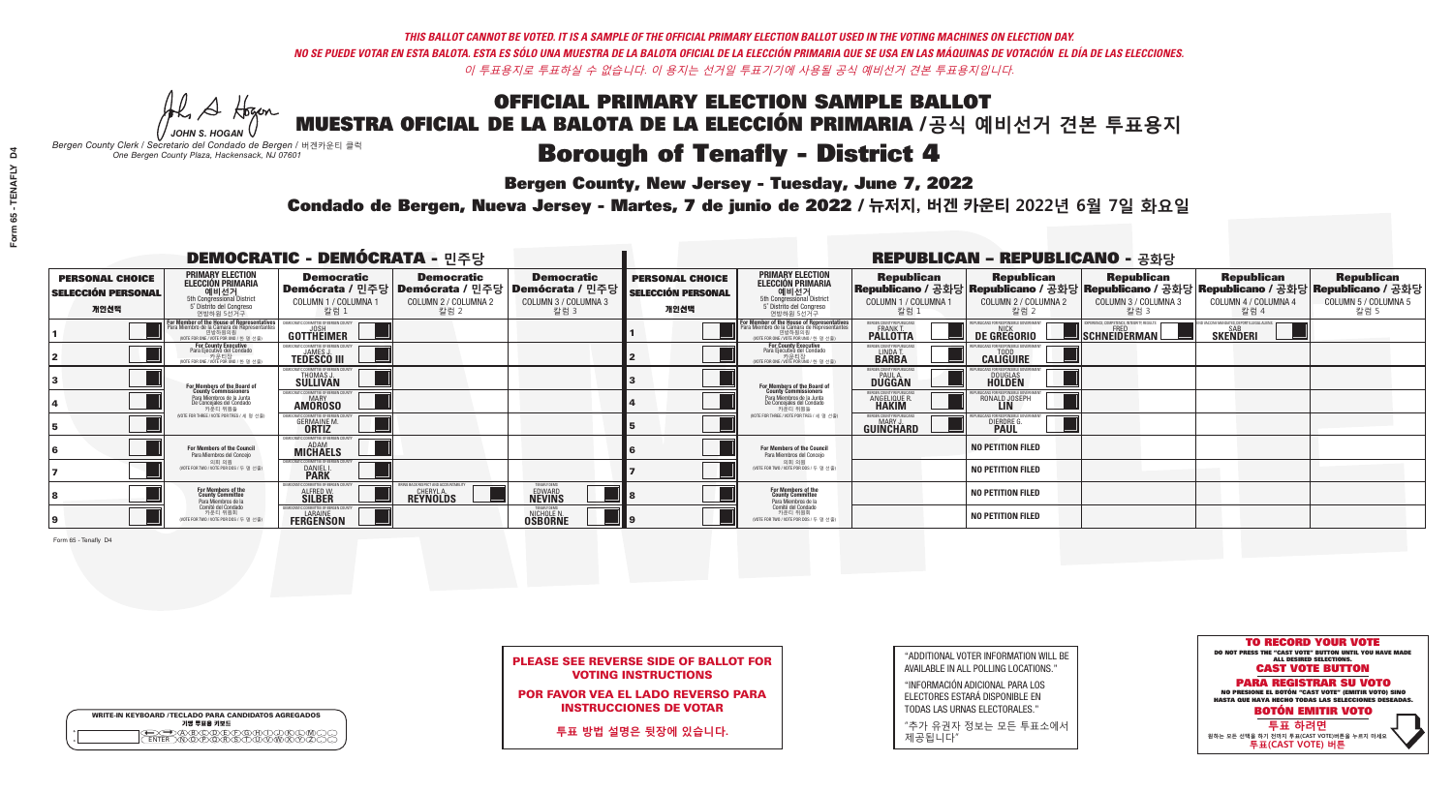**Bergen County, New Jersey - Tuesday, June 7, 2022** 

A Hogen *JOHN S. HOGAN*

|         | <b>WRITE-IN KEYBOARD /TECLADO PARA CANDIDATOS AGREGADOS</b><br>기명 투표용 키보드 |
|---------|---------------------------------------------------------------------------|
| ٥       | YADÆÆRAH                                                                  |
| $\circ$ | <u>እጅአጀለፍለች</u>                                                           |

*Bergen County Clerk / Secretario del Condado de Bergen /* 버겐카운티 클럭 *One Bergen County Plaza, Hackensack, NJ 07601*

Condado de Bergen, Nueva Jersey - Martes, 7 de junio de 2022 / 뉴저지, 버겐 카운티 2022년 6월 7일 화요일 *One Bergen County Plaza, Hackensack, NJ 07601*



PLEASE SEE REVERSE SIDE OF BALLOT FOR VOTING INSTRUCTIONS

POR FAVOR VEA EL LADO REVERSO PARA INSTRUCCIONES DE VOTAR

**투표 방법 설명은 뒷장에 있습니다.**

"ADDITIONAL VOTER INFORMATION WILL BE AVAILABLE IN ALL POLLING LOCATIONS."

"INFORMACIÓN ADICIONAL PARA LOS ELECTORES ESTARÁ DISPONIBLE EN TODAS LAS URNAS ELECTORALES."

"추가 유권자 정보는 모든 투표소에서 제공됩니다"

|                                                             | <b>DEMOCRATIC - DEMÓCRATA - 민주당</b>                                                                                                                         |                                                                              |                                                                                        |                                                                        | <b>REPUBLICAN - REPUBLICANO - 공화당</b>                       |                                                                                                                                    |                                                            |                                                 |                                                                                                                                                |                                                           |                                                   |
|-------------------------------------------------------------|-------------------------------------------------------------------------------------------------------------------------------------------------------------|------------------------------------------------------------------------------|----------------------------------------------------------------------------------------|------------------------------------------------------------------------|-------------------------------------------------------------|------------------------------------------------------------------------------------------------------------------------------------|------------------------------------------------------------|-------------------------------------------------|------------------------------------------------------------------------------------------------------------------------------------------------|-----------------------------------------------------------|---------------------------------------------------|
| <b>PERSONAL CHOICE</b><br><b>SELECCIÓN PERSONAL</b><br>개인선택 | <b>PRIMARY ELECTION</b><br>ELECCIÓN PRIMARIA<br>5th Congressional District<br>5° Distrito del Congreso<br>연방하원 5선거구                                         | <b>Democratic</b><br>COLUMN 1 / COLUMNA 1<br>칼럼 1                            | <b>Democratic</b><br>Demócrata / 민주당   Demócrata / 민주당<br>COLUMN 2 / COLUMNA 2<br>칼럼 2 | <b>Democratic</b><br>│Demócrata / 민주당│<br>COLUMN 3 / COLUMNA 3<br>칼럼 3 | <b>PERSONAL CHOICE</b><br><b>SELECCIÓN PERSONAL</b><br>개인선택 | <b>PRIMARY ELECTION</b><br>ELECCIÓN PRIMARIA<br>예비선거<br>5th Congressional District<br>5° Distrito del Congreso<br>연방하원 5선거구        | <b>Republican</b><br>COLUMN 1 / COLUMNA 1<br>칼럼            | <b>Republican</b><br>COLUMN 2 / COLUMNA 2<br>칼럼 | <b>Republican</b><br>Republicano / 공화당 Republicano / 공화당 Republicano / 공화당 Republicano / 공화당 Republicano / 공화당<br>COLUMN 3 / COLUMNA 3<br>칼럼 3 | <b>Republican</b><br>COLUMN 4 / COLUMNA 4<br>칼럼 4         | <b>Republican</b><br>COLUMN 5 / COLUMNA 5<br>칼럼 5 |
|                                                             | F <mark>or Member of the House of Representatives</mark><br>Para Miembro de la Cámara de Representantes<br>연방하원의원<br>(VOTE FOR ONE / VOTE POR UNO / 한 명 선출) | EMOCRATIC COMMITTEE OF BERGEN CO<br>GOTTHEIMER                               |                                                                                        |                                                                        |                                                             | For Member of the House of Representatives<br>Para Miembro de la Cámara de Representantes<br>NOTE FOR ONE / VOTE POR UNO / 한 명 선출) | ERGEN COUNTY REPUBLICAN:<br><b>PALLOTTA</b>                | DE GREGORIO                                     | $\blacksquare$ Schneiderman $\mathbin{\llbracket}$                                                                                             | VACCINE MANDATES, DEPORT ILLEGAL ALIEN<br><b>SKENDERI</b> |                                                   |
|                                                             | For County Executive<br>Para Ejecutivo del Condado<br>가운티장<br>(VOTE FOR ONE / VOTE POR UNO / 한 명 선출)                                                        | EMOCRATIC COMMITTEE OF BERGEN COUNTY<br><b>JAMES J</b><br><b>TEDESCO III</b> |                                                                                        |                                                                        |                                                             | For County Executive<br>Para Ejecutivo del Condado<br>. 카운티장<br>(VOTE FOR ONE / VOTE POR UNO / 한 명 선출                              | BERGEN COUNTY REPUBLICAN:<br>LINDA T.                      | <b>CALIGUIRE</b>                                |                                                                                                                                                |                                                           |                                                   |
|                                                             | <b>For Members of the Board of<br/>County Commissioners</b>                                                                                                 | MOCRATIC COMMITTEE OF BERGEN COUNTY<br>THOMAS J<br>SÜLLIVAN                  |                                                                                        |                                                                        |                                                             | For Members of the Board of<br>County Commissioners                                                                                | ERGEN COUNTY REPUBLICAN<br><b>PAUL A.</b><br><b>DUGGAN</b> | DOUGLAS<br>HOLDEN                               |                                                                                                                                                |                                                           |                                                   |
|                                                             | Para Miembros de la Junta<br>De Concejales del Condado<br>카우티 위원들                                                                                           | EMOCRATIC COMMITTEE OF BERGEN COUNTY<br><b>MARY</b><br><b>AMOROSO</b>        |                                                                                        |                                                                        |                                                             | Para Miembros de la Junta<br>De Concejales del Condado<br>카운티 위원들                                                                  | FRGEN COUNTY REPUBLICAN<br><b>ANGELIQUE R<br/>HAKIM</b>    | RONALD JOSEPH                                   |                                                                                                                                                |                                                           |                                                   |
|                                                             | (VOTE FOR THREE / VOTE POR TRES / 세 명 선출)                                                                                                                   | CRATIC COMMITTEE OF BERGEN COUNT<br><b>GERMAINE M.</b>                       |                                                                                        |                                                                        |                                                             | (VOTE FOR THREE / VOTE POR TRES / 세 명 선출)                                                                                          | BERGEN COUNTY REPUBLICANS<br>MARY .I<br>GUINCHARD          | DIERDRE L                                       |                                                                                                                                                |                                                           |                                                   |
|                                                             | For Members of the Council<br>Para Miembros del Conceio                                                                                                     | <b>EMOCRATIC COMMITTEE OF BERGEN COUNTY</b><br><b>MICHAELS</b>               |                                                                                        |                                                                        |                                                             | For Members of the Council<br>Para Miembros del Conceio                                                                            |                                                            | <b>NO PETITION FILED</b>                        |                                                                                                                                                |                                                           |                                                   |
|                                                             | 의회 의원<br>(VOTE FOR TWO / VOTE POR DOS / 두 명 선출)                                                                                                             | EMOCRATIC COMMITTEE OF BERGEN COUNTY<br><b>DANIEL I.</b><br><b>PARK</b>      |                                                                                        |                                                                        |                                                             | 의회 의원<br>VOTE FOR TWO / VOTE POR DOS / 두 명 선출)                                                                                     |                                                            | <b>NO PETITION FILED</b>                        |                                                                                                                                                |                                                           |                                                   |
|                                                             | For Members of the<br>County Committee<br>Para Miembros de la<br>Comité del Condado                                                                         | (OCRATIC COMMITTEE OF BERGEN<br><b>ALFRED W.</b><br><b>SILBER</b>            | BACK RESPECT AND ACCOUNTABILITY<br><b>REYNOLDS</b>                                     | 'ENAFLY DEMS<br><b>EDWARD</b>                                          |                                                             | For Members of the<br>County Committee<br>Para Miembros de la<br>Comité del Condado                                                |                                                            | <b>NO PETITION FILED</b>                        |                                                                                                                                                |                                                           |                                                   |
|                                                             | 카운티 위원회<br>(VOTE FOR TWO / VOTE POR DOS / 두 명 선출)                                                                                                           | <b>IMOCRATIC COMMITTEE OF BERGEN COUNT</b><br>LARAINE<br><b>FERGENSON</b>    |                                                                                        | <b>TENAFLY DEMS</b><br><b>NICHOLE N.</b><br><b>OSBORNE</b>             |                                                             | 카운티 위원회<br>VOTE FOR TWO / VOTE POR DOS / 두 명 선출)                                                                                   |                                                            | <b>NO PETITION FILED</b>                        |                                                                                                                                                |                                                           |                                                   |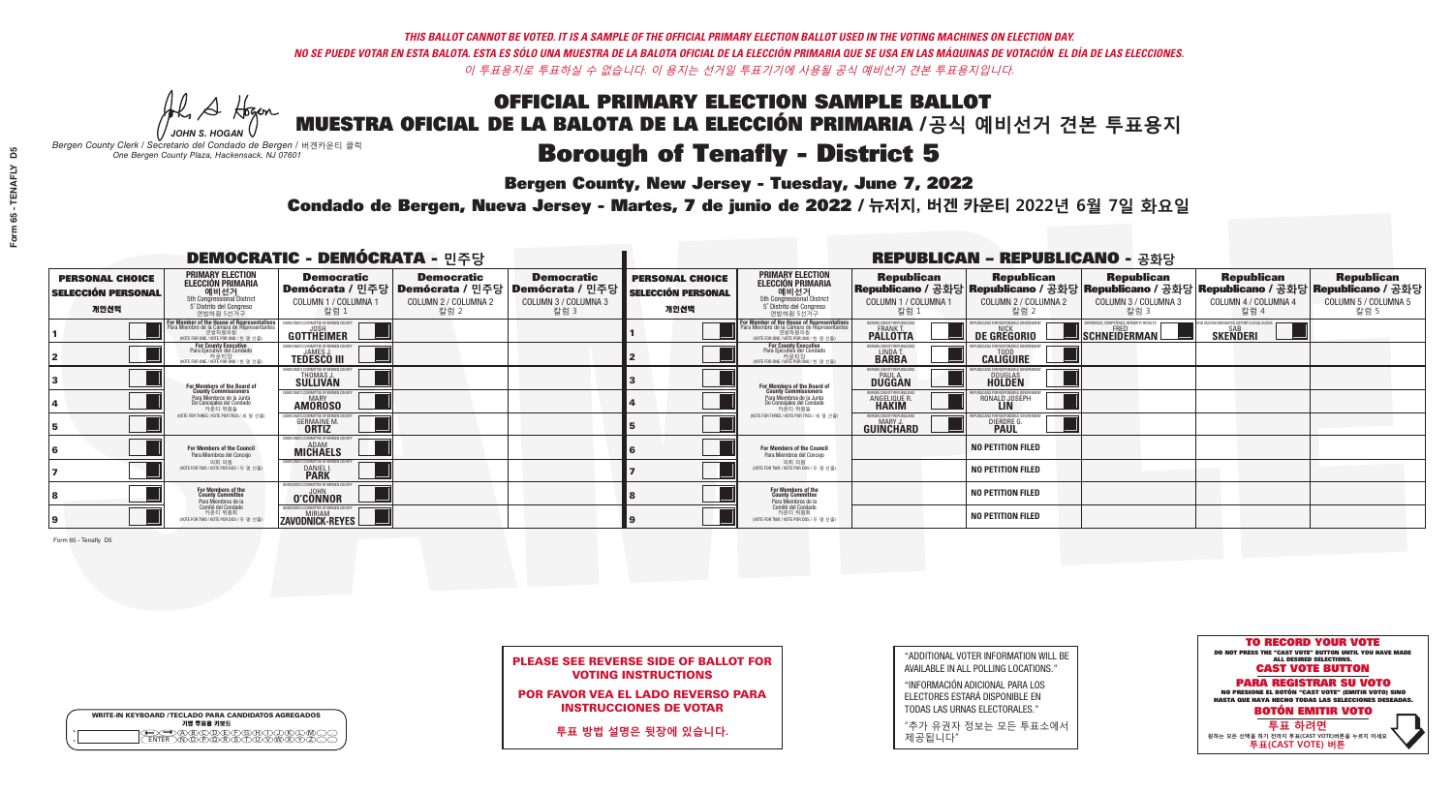**Bergen County, New Jersey - Tuesday, June 7, 2022** 

A Hogen *JOHN S. HOGAN*

| <b>WRITE-IN KEYBOARD /TECLADO PARA CANDIDATOS AGREGADOS</b><br>기명 투표용 키보드 |  |
|---------------------------------------------------------------------------|--|
| E A BOO DE DO BODO KI<br>MA BA BA SA MAWA XA                              |  |

*Bergen County Clerk / Secretario del Condado de Bergen /* 버겐카운티 클럭 *One Bergen County Plaza, Hackensack, NJ 07601*

Condado de Bergen, Nueva Jersey - Martes, 7 de junio de 2022 / 뉴저지, 버겐 카운티 2022년 6월 7일 화요일 *One Bergen County Plaza, Hackensack, NJ 07601*



PLEASE SEE REVERSE SIDE OF BALLOT FOR VOTING INSTRUCTIONS

POR FAVOR VEA EL LADO REVERSO PARA INSTRUCCIONES DE VOTAR

**투표 방법 설명은 뒷장에 있습니다.**

"ADDITIONAL VOTER INFORMATION WILL BE AVAILABLE IN ALL POLLING LOCATIONS."

"INFORMACIÓN ADICIONAL PARA LOS ELECTORES ESTARÁ DISPONIBLE EN TODAS LAS URNAS ELECTORALES."

"추가 유권자 정보는 모든 투표소에서 제공됩니다"

| <b>DEMOCRATIC - DEMÓCRATA - 민주당</b>                         |                                                                                                                                         |                                                                       |                                                   |                                                                                                        |                                                             |                                                                                                                                             |                                                            | <b>REPUBLICAN - REPUBLICANO - 공화당</b>             |                                                                                                                                                |                                                           |                                                   |
|-------------------------------------------------------------|-----------------------------------------------------------------------------------------------------------------------------------------|-----------------------------------------------------------------------|---------------------------------------------------|--------------------------------------------------------------------------------------------------------|-------------------------------------------------------------|---------------------------------------------------------------------------------------------------------------------------------------------|------------------------------------------------------------|---------------------------------------------------|------------------------------------------------------------------------------------------------------------------------------------------------|-----------------------------------------------------------|---------------------------------------------------|
| <b>PERSONAL CHOICE</b><br><b>SELECCIÓN PERSONAL</b><br>개인선택 | <b>PRIMARY ELECTION</b><br><b>ELECCIÓN PRIMARIA</b><br>---- 예비선거<br>5th Congressional District<br>5° Distrito del Congreso<br>연방하원 5선거구 | <b>Democratic</b><br>COLUMN 1 / COLUMNA 1<br>칼럼 1                     | <b>Democratic</b><br>COLUMN 2 / COLUMNA 2<br>칼럼 2 | <b>Democratic</b><br>│Demócrata / 민주당│Demócrata / 민주당│Demócrata / 민주당│<br>COLUMN 3 / COLUMNA 3<br>칼럼 3 | <b>PERSONAL CHOICE</b><br><b>SELECCIÓN PERSONAL</b><br>개인선택 | <b>PRIMARY ELECTION</b><br><b>ELECCIÓN PRIMARIA</b><br>5th Congressional District<br>5° Distrito del Congreso<br>연방하원 5선거구                  | <b>Republican</b><br>COLUMN 1 / COLUMNA 1<br>칼럼            | <b>Republican</b><br>COLUMN 2 / COLUMNA 2<br>칼럼 2 | <b>Republican</b><br>Republicano / 공화당 Republicano / 공화당 Republicano / 공화당 Republicano / 공화당 Republicano / 공화당<br>COLUMN 3 / COLUMNA 3<br>칼럼 3 | <b>Republican</b><br>COLUMN 4 / COLUMNA 4<br>칼럼 4         | <b>Republican</b><br>COLUMN 5 / COLUMNA 5<br>칼럼 5 |
|                                                             | For Member of the House of Representatives<br>Para Miembro de la Cámara de Representantes                                               | JEMOCRATIC COMMITTEE OF BERGEN<br><b>GOTTHEIMER</b>                   |                                                   |                                                                                                        |                                                             | For Member of the House of Representatives<br>Para Miembro de la Cámara de Representantes<br>연방하원의원<br>(VOTE FOR ONE / VOTE POR UNO / 한명선출) | BERGEN COUNTY REPUBLICAN<br><b>PALLOTTA</b>                | DE GREGORIO                                       | 'ERIENCE, COMPETENCE, INTEGRITY, RESULT<br>SCHNEIDERMAN                                                                                        | VACCINE MANDATES, DEPORT ILLEGAL ALIEN<br><b>SKENDERI</b> |                                                   |
|                                                             | For County Executive<br>Para Ejecutivo del Condado<br>가운티장<br>(VOTE FOR ONE / VOTE POR UNO / 한 명 선출)                                    | FMOCRATIC COMMITTEE OF BERGEN COUNTY<br><b>TEDESCO III</b>            |                                                   |                                                                                                        |                                                             | For County Executive<br>Para Ejecutivo del Condado<br>가운티장<br>(VOTE FOR ONE / VOTE POR UNO / 한 명 선출)                                        | BERGEN COUNTY REPUBLICAN<br>LINDA T.                       | <b>CALIGUIRE</b>                                  |                                                                                                                                                |                                                           |                                                   |
|                                                             | For Members of the Board of<br>County Commissioners                                                                                     | <b>EMOCRATIC COMMITTEE OF BEBGEN COUNT</b><br>THOMAS J.               |                                                   |                                                                                                        |                                                             | For Members of the Board of<br>County Commissioners                                                                                         | ERGEN COUNTY REPUBLICAN<br><b>PAUL A.</b><br><b>DUGGAN</b> | <b>DOUGLAS</b>                                    |                                                                                                                                                |                                                           |                                                   |
|                                                             | Para Miembros de la Junta<br>De Concejales del Condado<br>카우티 위원들                                                                       | <b>EMOCRATIC COMMITTEE OF BERGEN COUNTY</b><br>MARY<br><b>AMÖROSO</b> |                                                   |                                                                                                        |                                                             | Para Miembros de la Junta<br>De Concejales del Condado<br>카운티 위원들                                                                           | <b>FRGEN COUNTY REPUBLICAN</b><br>ANGELIQUE R              | RONALD JOSEPH                                     |                                                                                                                                                |                                                           |                                                   |
|                                                             | (VOTE FOR THREE / VOTE POR TRES / 세 명 선출)                                                                                               | <b>GERMAINE M.</b>                                                    |                                                   |                                                                                                        |                                                             | (VOTE FOR THREE / VOTE POR TRES / 세 명 선출)                                                                                                   | ERGEN COUNTY REPUBLICANS<br>MARY J<br>GUINCHARD            | <b>DIERDRE</b> G                                  |                                                                                                                                                |                                                           |                                                   |
|                                                             | <b>For Members of the Council</b><br>Para Miembros del Conceio                                                                          | EMOCRATIC COMMITTEE OF BERGEN COUNTY<br><b>MICHAELS</b>               |                                                   |                                                                                                        |                                                             | <b>For Members of the Council</b><br>Para Miembros del Conceio                                                                              |                                                            | <b>NO PETITION FILED</b>                          |                                                                                                                                                |                                                           |                                                   |
|                                                             | 의회 의원<br>(VOTE FOR TWO / VOTE POR DOS / 두 명 선출)                                                                                         | EMOCRATIC COMMITTEE OF BERGEN COUNTY<br>DANIEL I.                     |                                                   |                                                                                                        |                                                             | 의회 의원<br>NOTE FOR TWO / VOTE POR DOS / 두 명 선출)                                                                                              |                                                            | <b>NO PETITION FILED</b>                          |                                                                                                                                                |                                                           |                                                   |
|                                                             | For Members of the<br>County Committee<br>Para Miembros de la                                                                           | MOCRATIC COMMITTEE OF BERGEN CO<br>O'CONNOR                           |                                                   |                                                                                                        |                                                             | For Members of the<br>County Committee<br>Para Miembros de la<br>Comité del Condado                                                         |                                                            | <b>NO PETITION FILED</b>                          |                                                                                                                                                |                                                           |                                                   |
|                                                             | Comité del Condado<br>카운티 위원회<br>(VOTE FOR TWO / VOTE POR DOS / 두 명 선출                                                                  | EMOCRATIC COMMITTEE OF BERGEN COUNTY<br>ZAVODNICK-REYES               |                                                   |                                                                                                        |                                                             | 카운티 위원회<br>(VOTE FOR TWO / VOTE POR DOS / 두 명 선출)                                                                                           |                                                            | <b>NO PETITION FILED</b>                          |                                                                                                                                                |                                                           |                                                   |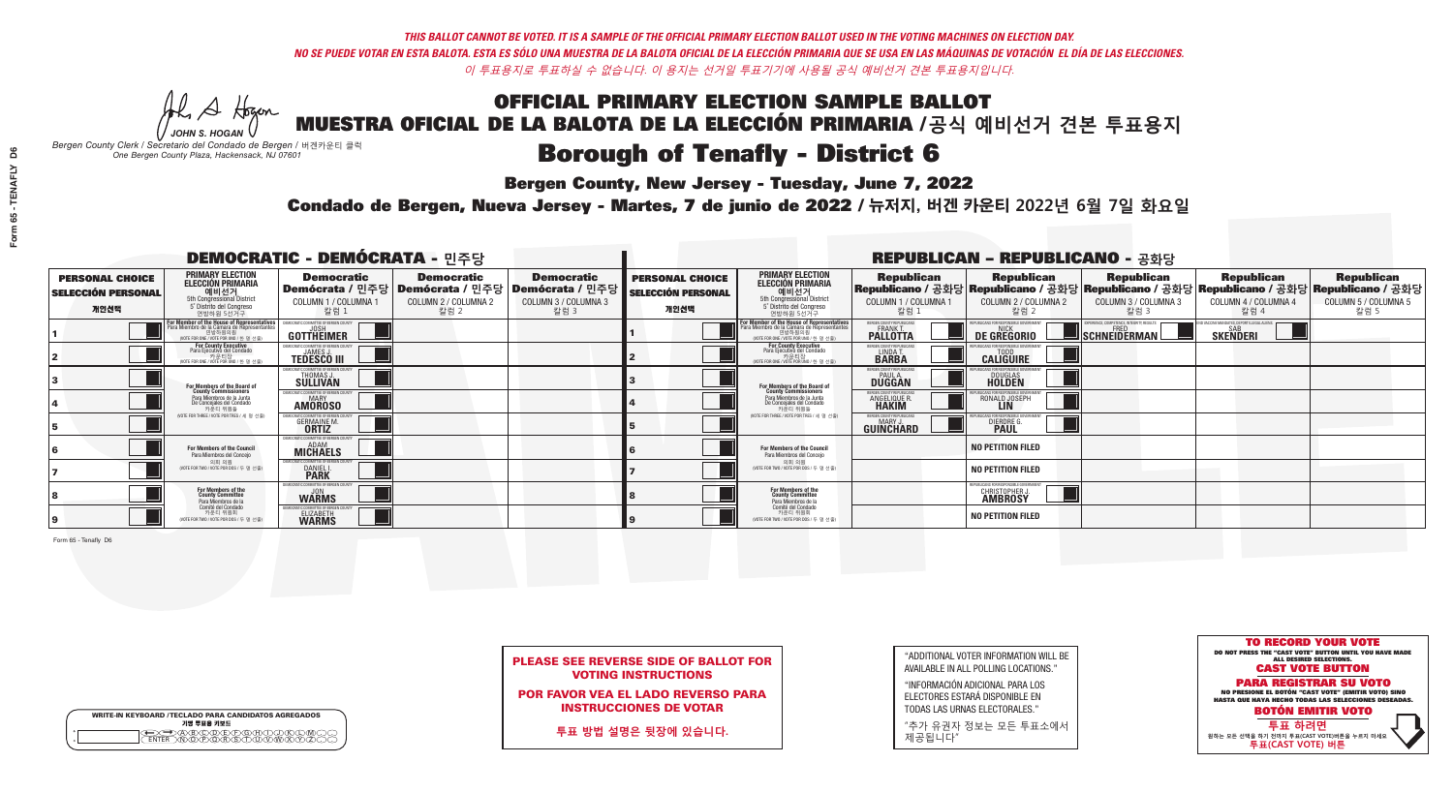**Bergen County, New Jersey - Tuesday, June 7, 2022** 

A Hogen *JOHN S. HOGAN*

| <b>WRITE-IN KEYBOARD /TECLADO PARA CANDIDATOS AGREGADOS</b><br>기명 투표용 키보드 |  |
|---------------------------------------------------------------------------|--|
| E A BOO DE DO BODO KI<br>MA BA BA SA MAWA XA                              |  |

*Bergen County Clerk / Secretario del Condado de Bergen /* 버겐카운티 클럭 *One Bergen County Plaza, Hackensack, NJ 07601*

Condado de Bergen, Nueva Jersey - Martes, 7 de junio de 2022 / 뉴저지, 버겐 카운티 2022년 6월 7일 화요일 *One Bergen County Plaza, Hackensack, NJ 07601*



PLEASE SEE REVERSE SIDE OF BALLOT FOR VOTING INSTRUCTIONS

POR FAVOR VEA EL LADO REVERSO PARA INSTRUCCIONES DE VOTAR

**투표 방법 설명은 뒷장에 있습니다.**

| "ADDITIONAL VOTER INFORMATION WILL BE |
|---------------------------------------|
| AVAILABLE IN ALL POLLING LOCATIONS."  |

"INFORMACIÓN ADICIONAL PARA LOS ELECTORES ESTARÁ DISPONIBLE EN TODAS LAS URNAS ELECTORALES."

"추가 유권자 정보는 모든 투표소에서 제공됩니다"

| <b>DEMOCRATIC - DEMÓCRATA - 민주당</b>                         |                                                                                                                                         |                                                                              |                                                   |                                                                                                              |                                                             |                                                                                                                                             |                                                            | <b>REPUBLICAN - REPUBLICANO - 공화당</b>                                           |                                                                                                                                                |                                                           |                                                   |
|-------------------------------------------------------------|-----------------------------------------------------------------------------------------------------------------------------------------|------------------------------------------------------------------------------|---------------------------------------------------|--------------------------------------------------------------------------------------------------------------|-------------------------------------------------------------|---------------------------------------------------------------------------------------------------------------------------------------------|------------------------------------------------------------|---------------------------------------------------------------------------------|------------------------------------------------------------------------------------------------------------------------------------------------|-----------------------------------------------------------|---------------------------------------------------|
| <b>PERSONAL CHOICE</b><br><b>SELECCIÓN PERSONAL</b><br>개인선택 | <b>PRIMARY ELECTION</b><br><b>ELECCIÓN PRIMARIA</b><br>---- 예비선거<br>5th Congressional District<br>5° Distrito del Congreso<br>연방하원 5선거구 | <b>Democratic</b><br>COLUMN 1 / COLUMNA 1<br>칼럼 1                            | <b>Democratic</b><br>COLUMN 2 / COLUMNA 2<br>칼럼 2 | <b>Democratic</b><br>  Demócrata / 민주당   Demócrata / 민주당   Demócrata / 민주당  <br>COLUMN 3 / COLUMNA 3<br>칼럼 3 | <b>PERSONAL CHOICE</b><br><b>SELECCIÓN PERSONAL</b><br>개인선택 | <b>PRIMARY ELECTION</b><br><b>ELECCIÓN PRIMARIA</b><br>예비선거<br>5th Congressional District<br>5° Distrito del Congreso<br>연방하원 5선거구          | <b>Republican</b><br>COLUMN 1 / COLUMNA 1<br>칼럼            | <b>Republican</b><br>COLUMN 2 / COLUMNA 2<br>칼럼 2                               | <b>Republican</b><br>Republicano / 공화당 Republicano / 공화당 Republicano / 공화당 Republicano / 공화당 Republicano / 공화당<br>COLUMN 3 / COLUMNA 3<br>칼럼 3 | <b>Republican</b><br>COLUMN 4 / COLUMNA 4<br>칼럼 4         | <b>Republican</b><br>COLUMN 5 / COLUMNA 5<br>칼럼 5 |
|                                                             | For Member of the House of Representatives<br>Para Miembro de la Cámara de Representantes                                               | EMOCRATIC COMMITTEE OF BERGEN (<br><b>GOTTHEIMER</b>                         |                                                   |                                                                                                              |                                                             | For Member of the House of Representatives<br>Para Miembro de la Cámara de Representantes<br>연방하원의원<br>(VOTE FOR ONE / VOTE POR UNO / 한명선출) | BERGEN COUNTY REPUBLICAN<br><b>PALLOTTA</b>                | DE GREGORIO                                                                     | ERIENCE, COMPETENCE, INTEGRITY, RESUL'<br>SCHNEIDERMAN                                                                                         | VACCINE MANDATES, DEPORT ILLEGAL ALIEI<br><b>SKENDERI</b> |                                                   |
|                                                             | For County Executive<br>Para Ejecutivo del Condado<br>가운티장<br>(VOTE FOR ONE / VOTE POR UNO / 한 명 선출)                                    | FMOCRATIC COMMITTEE OF BERGEN COUNTY<br><b>TEDESCO III</b>                   |                                                   |                                                                                                              |                                                             | For County Executive<br>Para Ejecutivo del Condado<br>가운티장<br>(VOTE FOR ONE / VOTE POR UNO / 한 명 선출)                                        | BERGEN COUNTY REPUBLICAN<br>LINDA T.                       | <b>CALIGUIRE</b>                                                                |                                                                                                                                                |                                                           |                                                   |
|                                                             | For Members of the Board of<br>County Commissioners                                                                                     | <b>EMOCRATIC COMMITTEE OF BEBGEN COUNT</b><br>THOMAS J.                      |                                                   |                                                                                                              |                                                             | For Members of the Board of<br>County Commissioners                                                                                         | ERGEN COUNTY REPUBLICAN<br><b>PAUL A.</b><br><b>DUGGAN</b> | <b>DOUGLAS</b>                                                                  |                                                                                                                                                |                                                           |                                                   |
|                                                             | Para Miembros de la Junta<br>De Concejales del Condado<br>카우티 위원들                                                                       | <b>EMOCRATIC COMMITTEE OF BERGEN COUNTY</b><br><b>MARY</b><br><b>AMÖROSO</b> |                                                   |                                                                                                              |                                                             | Para Miembros de la Junta<br>De Concejales del Condado<br>카운티 위원들                                                                           | <b>FRGEN COUNTY REPUBLICAN</b><br>ANGELIQUE R              | RONALD JOSEPH                                                                   |                                                                                                                                                |                                                           |                                                   |
|                                                             | (VOTE FOR THREE / VOTE POR TRES / 세 명 선출)                                                                                               | <b>GERMAINE M.</b>                                                           |                                                   |                                                                                                              |                                                             | NOTE FOR THREE / VOTE POR TRES / 세 명 선출)                                                                                                    | ERGEN COUNTY REPUBLICANS<br>MARY J<br>GUINCHARD            | <b>DIERDRE</b> G                                                                |                                                                                                                                                |                                                           |                                                   |
|                                                             | <b>For Members of the Council</b><br>Para Miembros del Conceio                                                                          | EMOCRATIC COMMITTEE OF BERGEN COUNTY<br><b>MICHAELS</b>                      |                                                   |                                                                                                              |                                                             | <b>For Members of the Council</b><br>Para Miembros del Conceio                                                                              |                                                            | <b>NO PETITION FILED</b>                                                        |                                                                                                                                                |                                                           |                                                   |
|                                                             | 의회 의원<br>(VOTE FOR TWO / VOTE POR DOS / 두 명 선출)                                                                                         | EMOCRATIC COMMITTEE OF BERGEN COUNTY<br>DANIEL I.                            |                                                   |                                                                                                              |                                                             | 의회 의원<br>NOTE FOR TWO / VOTE POR DOS / 두 명 선출)                                                                                              |                                                            | <b>NO PETITION FILED</b>                                                        |                                                                                                                                                |                                                           |                                                   |
|                                                             | For Members of the<br>County Committee<br>Para Miembros de la                                                                           | MOCRATIC COMMITTEE OF BERGEN CO<br><b>WARMS</b>                              |                                                   |                                                                                                              |                                                             | For Members of the<br>County Committee<br>Para Miembros de la<br>Comité del Condado                                                         |                                                            | PUBLICANS FOR RESPONSIBLE GOVERNMENT<br><b>CHRISTOPHER J.</b><br><b>AMBROSY</b> |                                                                                                                                                |                                                           |                                                   |
|                                                             | Comité del Condado<br>카운티 위원회<br>(VOTE FOR TWO / VOTE POR DOS / 두 명 선출)                                                                 | MOCRATIC COMMITTEE OF BERGEN COUNT<br>ELIZABETH                              |                                                   |                                                                                                              |                                                             | 카운티 위원회<br>(VOTE FOR TWO / VOTE POR DOS / 두 명 선출)                                                                                           |                                                            | <b>NO PETITION FILED</b>                                                        |                                                                                                                                                |                                                           |                                                   |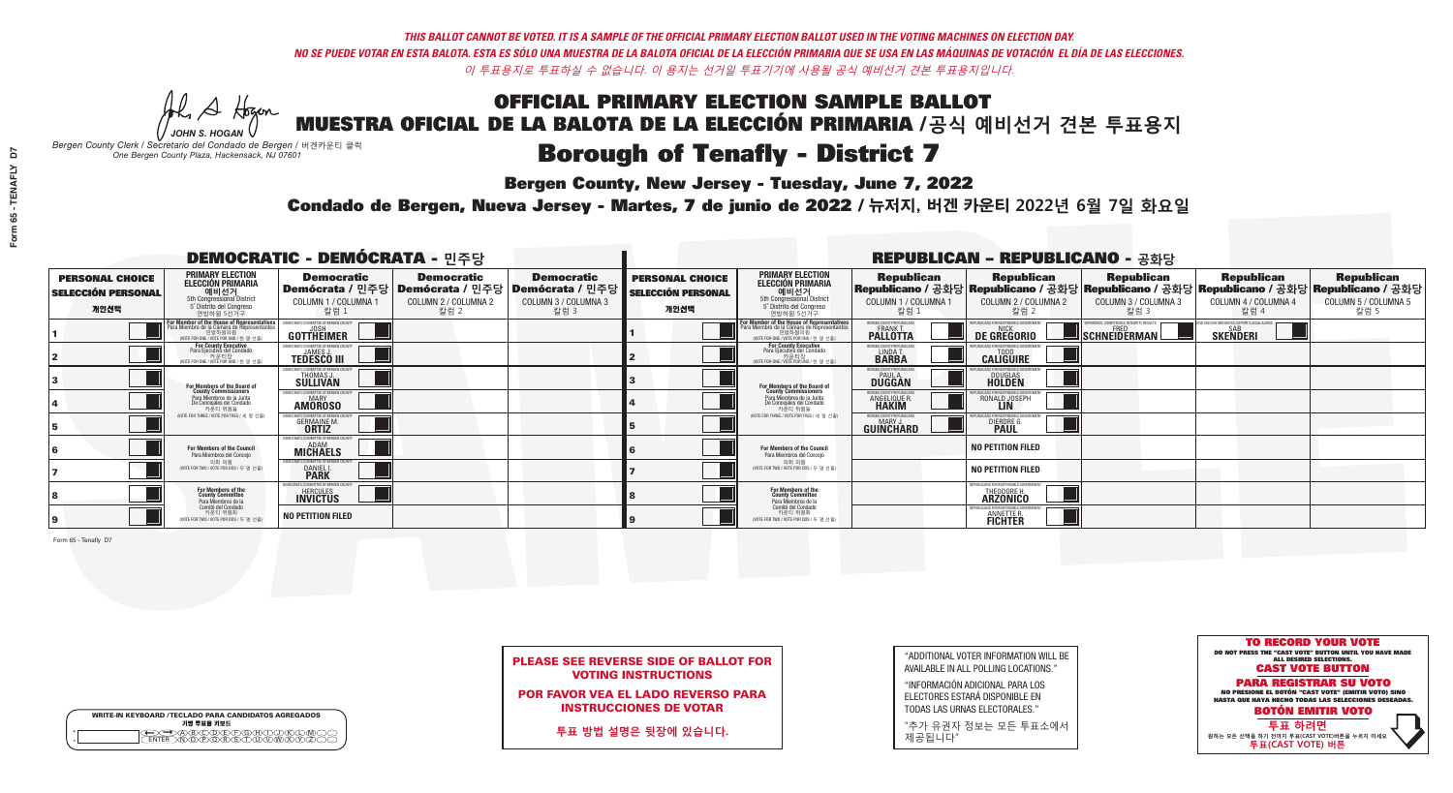**Bergen County, New Jersey - Tuesday, June 7, 2022** 

A Hogen *JOHN S. HOGAN*

|   | <b>WRITE-IN KEYBOARD /TECLADO PARA CANDIDATOS AGREGADOS</b><br>기명 투표용 키보드 |
|---|---------------------------------------------------------------------------|
| o | .)B)C)DE)F)G)H)                                                           |
| o | <u>እጅአል አል</u>                                                            |

*Bergen County Clerk / Secretario del Condado de Bergen /* 버겐카운티 클럭 *One Bergen County Plaza, Hackensack, NJ 07601*

Condado de Bergen, Nueva Jersey - Martes, 7 de junio de 2022 / 뉴저지, 버겐 카운티 2022년 6월 7일 화요일 *One Bergen County Plaza, Hackensack, NJ 07601*



| <b>PLEASE SEE REVERSE SIDE OF BALLOT FOR</b> |
|----------------------------------------------|
| <b>VOTING INSTRUCTIONS</b>                   |

POR FAVOR VEA EL LADO REVERSO PARA INSTRUCCIONES DE VOTAR

**투표 방법 설명은 뒷장에 있습니다.**

"ADDITIONAL VOTER INFORMATION WILL BE AVAILABLE IN ALL POLLING LOCATIONS."

"INFORMACIÓN ADICIONAL PARA LOS ELECTORES ESTARÁ DISPONIBLE EN TODAS LAS URNAS ELECTORALES."

"추가 유권자 정보는 모든 투표소에서 제공됩니다"

|                                                             |                                                                                                                                               | <b>DEMOCRATIC - DEMÓCRATA - 민주당</b>                                    |                                                                                       |                                                                        |                                                             |                                                                                                                                    |                                                            | <b>REPUBLICAN - REPUBLICANO - 공화당</b>                                                                                                          |                                                    |                                                    |                                                   |
|-------------------------------------------------------------|-----------------------------------------------------------------------------------------------------------------------------------------------|------------------------------------------------------------------------|---------------------------------------------------------------------------------------|------------------------------------------------------------------------|-------------------------------------------------------------|------------------------------------------------------------------------------------------------------------------------------------|------------------------------------------------------------|------------------------------------------------------------------------------------------------------------------------------------------------|----------------------------------------------------|----------------------------------------------------|---------------------------------------------------|
| <b>PERSONAL CHOICE</b><br><b>SELECCIÓN PERSONAL</b><br>개인선택 | <b>PRIMARY ELECTION</b><br><b>ELECCIÓN PRIMARIA</b><br>예비선거<br>5th Congressional District<br>5° Distrito del Congreso<br>연방하원 5선거구            | <b>Democratic</b><br>COLUMN 1 / COLUMNA 1<br>칼럼 1                      | <b>Democratic</b><br>│Demócrata / 민주당│Demócrata / 민주당<br>COLUMN 2 / COLUMNA 2<br>칼럼 2 | <b>Democratic</b><br>Demócrata / 민주당  <br>COLUMN 3 / COLUMNA 3<br>칼럼 3 | <b>PERSONAL CHOICE</b><br><b>SELECCIÓN PERSONAL</b><br>개인선택 | <b>PRIMARY ELECTION</b><br>ELECCIÓN PRIMARIA<br>5th Congressional District<br>5° Distrito del Congreso<br>연방하원 5선거구                | <b>Republican</b><br>COLUMN 1 / COLUMNA 1<br>참럼.           | <b>Republican</b><br>Republicano / 공화당 Republicano / 공화당 Republicano / 공화당 Republicano / 공화당 Republicano / 공화당<br>COLUMN 2 / COLUMNA 2<br>칼럼 2 | <b>Republican</b><br>COLUMN 3 / COLUMNA 3<br>칼럼 3  | <b>Republican</b><br>COLUMN 4 / COLUMNA 4<br>칼럼 4  | <b>Republican</b><br>COLUMN 5 / COLUMNA 5<br>칼럼 5 |
|                                                             | For Member of the House of Representatives<br>Para Miembro de la Cámara de Representantes<br>연방하원의원<br>(VOTE FOR ONE / VOTE POR UNO / 한 명 선출) | DEMOCRATIC COMMITTEE OF BERGEN COUNT<br>GOTTHEIMER                     |                                                                                       |                                                                        |                                                             | For Member of the House of Representatives<br>Para Miembro de la Cámara de Representantes<br>WOTE FOR ONE / VOTE POR UNO / 한 명 선출) | BERGEN COUNTY REPUBLICANS<br>FRANK T.<br><b>PALLOTTA</b>   | <b>DE GREGORIO</b>                                                                                                                             | $\blacksquare$  schneiderman $\mathbin{\llcorner}$ | VACCINE MANDATES, DEPORT ILLEGAL ALIEN<br>SKEÑDERI |                                                   |
|                                                             | For County Executive<br>Para Ejecutivo del Condado<br>. 카운티장<br>(VOTE FOR ONE / VOTE POR UNO / 한 명 선출)                                        | EMOCRATIC COMMITTEE OF BERGEN COUNTY<br><b>TEDESCO III</b>             |                                                                                       |                                                                        |                                                             | <b>For County Executive</b><br>Para Ejecutivo del Condado<br>기운티장<br>(VOTE FOR ONE / VOTE POR UNO / 한 명 선출)                        | BERGEN COUNTY REPUBLICAN<br>LINDA T.                       | <b>CALIGUIRE</b>                                                                                                                               |                                                    |                                                    |                                                   |
|                                                             | For Members of the Board of<br>County Commissioners                                                                                           | EMOCRATIC COMMITTEE OF BERGEN COUNTY<br>THOMAS J.                      |                                                                                       |                                                                        |                                                             | For Members of the Board of<br>County Commissioners                                                                                | ERGEN COUNTY REPUBLICAN<br><b>PAUL A.</b><br><b>DUGGAN</b> | <b>DOUGLAS</b>                                                                                                                                 |                                                    |                                                    |                                                   |
|                                                             | Para Miembros de la Junta<br>De Concejales del Condado<br>카우티 위원들                                                                             | IOCRATIC COMMITTEE OF BERGEN COUNTY<br><b>MARY</b><br><b>AMOROSO</b>   |                                                                                       |                                                                        |                                                             | Para Miembros de la Junta<br>De Concejales del Condado<br>카운티 위원들                                                                  | RGEN COUNTY REPUBLICAN<br><b>ANGELIQUE R<br/>HAKIM</b>     | RONALD JOSEPH                                                                                                                                  |                                                    |                                                    |                                                   |
|                                                             | (VOTE FOR THREE / VOTE POR TRES / 세 명 선출)                                                                                                     | )CRATIC COMMITTEE OF BERGEN COUN<br><b>GERMAINE M.</b><br><b>ORTIZ</b> |                                                                                       |                                                                        |                                                             | (VOTE FOR THREE / VOTE POR TRES / 세 명 선출)                                                                                          | ERGEN COUNTY REPUBLICANS<br><b>MARY J</b><br>GUIÑCHARD     | DIERDRE G                                                                                                                                      |                                                    |                                                    |                                                   |
|                                                             | For Members of the Council<br>Para Miembros del Conceio                                                                                       | EMOCRATIC COMMITTEE OF BERGEN CO<br><b>MICHAELS</b>                    |                                                                                       |                                                                        |                                                             | <b>For Members of the Council</b><br>Para Miembros del Conceio                                                                     |                                                            | <b>NO PETITION FILED</b>                                                                                                                       |                                                    |                                                    |                                                   |
|                                                             | 의회 의원<br>(VOTE FOR TWO / VOTE POR DOS / 두 명 선출)                                                                                               | EMOCRATIC COMMITTEE OF BERGEN COUNTY<br>DANIEL I.                      |                                                                                       |                                                                        |                                                             | 의회 의원<br>(VOTE FOR TWO / VOTE POR DOS / 두 명 선출)                                                                                    |                                                            | <b>NO PETITION FILED</b>                                                                                                                       |                                                    |                                                    |                                                   |
|                                                             | For Members of the<br>County Committee<br>Para Miembros de la                                                                                 | <b>MOCRATIC COMMITTEE OF BERGEN</b><br>HERCULES                        |                                                                                       |                                                                        |                                                             | For Members of the<br>County Committee<br>Para Miembros de la<br>Comité del Condado                                                |                                                            | REPUBLICANS FOR RESPONSIBLE GOVERNME!<br><b>ARZONICO</b>                                                                                       |                                                    |                                                    |                                                   |
|                                                             | Comité del Condado<br>카운티 위원회<br>(VOTE FOR TWO / VOTE POR DOS / 두 명 선출)                                                                       | <b>NO PETITION FILED</b>                                               |                                                                                       |                                                                        |                                                             | 카운티 위원회<br>(VOTE FOR TWO / VOTE POR DOS / 두 명 선출)                                                                                  |                                                            | REPUBLICANS FOR RESPONSIBLE GOV<br><b>ANNETTE R.</b><br><b>FICHTER</b>                                                                         |                                                    |                                                    |                                                   |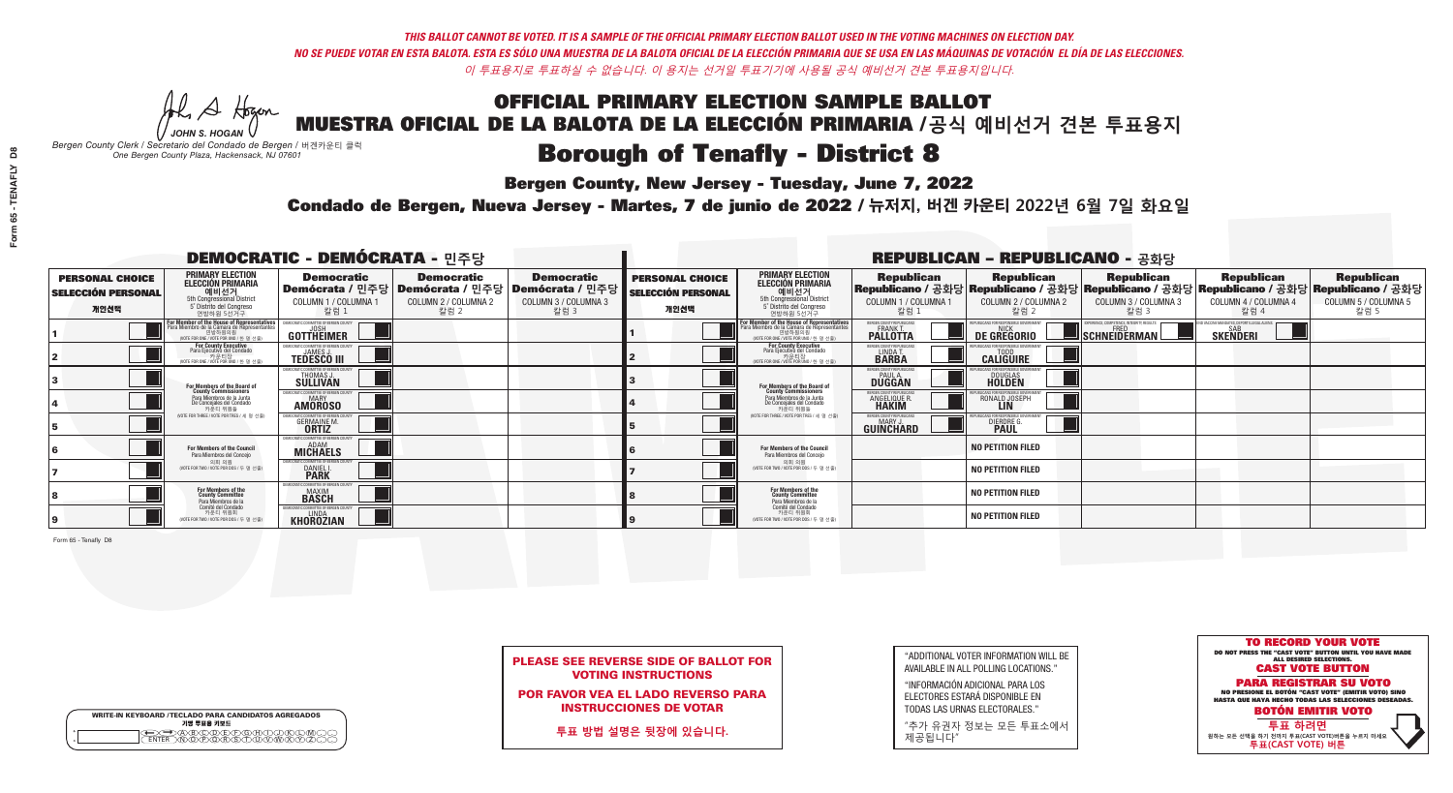**Bergen County, New Jersey - Tuesday, June 7, 2022** 

A Hogen *JOHN S. HOGAN*

|         | <b>WRITE-IN KEYBOARD /TECLADO PARA CANDIDATOS AGREGADOS</b><br>기명 투표용 키보드 |
|---------|---------------------------------------------------------------------------|
| ٥       | .)(B)C)(D)(E)(F)(G)(H)(                                                   |
| $\circ$ | <u>፝ዀፙቑ፝፠ዾ</u>                                                            |

*Bergen County Clerk / Secretario del Condado de Bergen /* 버겐카운티 클럭 *One Bergen County Plaza, Hackensack, NJ 07601*

Condado de Bergen, Nueva Jersey - Martes, 7 de junio de 2022 / 뉴저지, 버겐 카운티 2022년 6월 7일 화요일 *One Bergen County Plaza, Hackensack, NJ 07601*



PLEASE SEE REVERSE SIDE OF BALLOT FOR VOTING INSTRUCTIONS

POR FAVOR VEA EL LADO REVERSO PARA INSTRUCCIONES DE VOTAR

**투표 방법 설명은 뒷장에 있습니다.**

| "ADDITIONAL VOTER INFORMATION WILL BE |
|---------------------------------------|
| AVAILABLE IN ALL POLLING LOCATIONS."  |

"INFORMACIÓN ADICIONAL PARA LOS ELECTORES ESTARÁ DISPONIBLE EN TODAS LAS URNAS ELECTORALES."

"추가 유권자 정보는 모든 투표소에서 제공됩니다"

| <b>DEMOCRATIC - DEMÓCRATA - 민주당</b>                         |                                                                                                                                    |                                                                              |                                                   |                                                                                                        |                                                             |                                                                                                                                              |                                                                     | <b>REPUBLICAN - REPUBLICANO - 공화당</b>             |                                                                                                                                                |                                                           |                                                   |
|-------------------------------------------------------------|------------------------------------------------------------------------------------------------------------------------------------|------------------------------------------------------------------------------|---------------------------------------------------|--------------------------------------------------------------------------------------------------------|-------------------------------------------------------------|----------------------------------------------------------------------------------------------------------------------------------------------|---------------------------------------------------------------------|---------------------------------------------------|------------------------------------------------------------------------------------------------------------------------------------------------|-----------------------------------------------------------|---------------------------------------------------|
| <b>PERSONAL CHOICE</b><br><b>SELECCIÓN PERSONAL</b><br>개인선택 | <b>PRIMARY ELECTION</b><br><b>ELECCIÓN PRIMARIA</b><br>예비선거<br>5th Congressional District<br>5° Distrito del Congreso<br>연방하원 5선거구 | <b>Democratic</b><br>COLUMN 1 / COLUMNA 1<br>칼럼 1                            | <b>Democratic</b><br>COLUMN 2 / COLUMNA 2<br>칼럼 2 | <b>Democratic</b><br>│Demócrata / 민주당│Demócrata / 민주당│Demócrata / 민주당┃<br>COLUMN 3 / COLUMNA 3<br>칼럼 3 | <b>PERSONAL CHOICE</b><br><b>SELECCIÓN PERSONAL</b><br>개인선택 | <b>PRIMARY ELECTION</b><br><b>ELECCIÓN PRIMARIA</b><br>예비선거<br>5th Congressional District<br>5° Distrito del Congreso<br>연방하원 5선거구           | <b>Republican</b><br>COLUMN 1 / COLUMNA 1<br>칼럼 :                   | <b>Republican</b><br>COLUMN 2 / COLUMNA 2<br>참럼 2 | <b>Republican</b><br>Republicano / 공화당 Republicano / 공화당 Republicano / 공화당 Republicano / 공화당 Republicano / 공화당<br>COLUMN 3 / COLUMNA 3<br>칼럼 3 | <b>Republican</b><br>COLUMN 4 / COLUMNA 4<br>칼럼 4         | <b>Republican</b><br>COLUMN 5 / COLUMNA 5<br>칼럼 5 |
|                                                             | For Member of the House of Representatives<br>Para Miembro de la Cámara de Representantes                                          | EMOCRATIC COMMITTEE OF BERGEN (<br>GOTTHEIMER                                |                                                   |                                                                                                        |                                                             | For Member of the House of Representatives<br>Para Miembro de la Cámara de Representantes<br>연방하원의원<br>(VOTE FOR ONE / VOTE POR UNO / 한 명 선출 | BERGEN COUNTY REPUBLICAN<br><b>PALLOTTA</b>                         | DE GREGORIO                                       | SCHNEIDERMAN                                                                                                                                   | VACCINE MANDATES, DEPORT ILLEGAL ALIEI<br><b>SKENDERI</b> |                                                   |
|                                                             | For County Executive<br>Para Ejecutivo del Condado<br>가운티장 / 카운티장<br>(VOTE FOR ONE / VOTE POR UNO / 한 명 선출)                        | <b>FMOCRATIC COMMITTEE OF BERGEN COUNT</b><br><b>TEDESCO III</b>             |                                                   |                                                                                                        |                                                             | For County Executive<br>Para Ejecutivo del Condado<br>. 카운티장<br>(VOTE FOR ONE / VOTE POR UNO / 한 명 선출                                        | BERGEN COUNTY REPUBLICAN<br>LINDA T.                                | <b>CALIGUIRE</b>                                  |                                                                                                                                                |                                                           |                                                   |
|                                                             | For Members of the Board of<br>County Commissioners                                                                                | EMOCRATIC COMMITTEE OF BERGEN COUNT<br>THOMAS J.<br>SÜLLIVAN                 |                                                   |                                                                                                        |                                                             | For Members of the Board of<br>County Commissioners                                                                                          | ERGEN COUNTY REPUBLICAN<br><b>PAUL A.</b><br><b>DUGGAN</b>          | <b>DOUGLAS</b>                                    |                                                                                                                                                |                                                           |                                                   |
|                                                             | Para Miembros de la Junta<br>De Concejales del Condado<br>카우티 위원들                                                                  | <b>EMOCRATIC COMMITTEE OF BEBGEN COUNTY</b><br><b>MARY</b><br><b>AMOROSO</b> |                                                   |                                                                                                        |                                                             | Para Miembros de la Junta<br>De Concejales del Condado<br>카운티 위원들                                                                            | <b>RGEN COUNTY REPUBLICAN</b><br><b>ANGELIQUE R</b><br><b>HAKIM</b> | RONALD JOSEPH                                     |                                                                                                                                                |                                                           |                                                   |
|                                                             | (VOTE FOR THREE / VOTE POR TRES / 세 명 선출)                                                                                          | RATIC COMMITTEE OF BERGEN COUNT:<br><b>GERMAINE M.</b>                       |                                                   |                                                                                                        |                                                             | (VOTE FOR THREE / VOTE POR TRES / 세 명 선출)                                                                                                    | ERGEN COUNTY REPUBLICANS<br>MARY .I<br>GUINCHARD                    | DIERDRE G                                         |                                                                                                                                                |                                                           |                                                   |
|                                                             | <b>For Members of the Council</b><br>Para Miembros del Conceio                                                                     | EMOCRATIC COMMITTEE OF BERGEN COUNTY<br><b>MICHAELS</b>                      |                                                   |                                                                                                        |                                                             | <b>For Members of the Council</b><br>Para Miembros del Conceio                                                                               |                                                                     | <b>NO PETITION FILED</b>                          |                                                                                                                                                |                                                           |                                                   |
|                                                             | 의회 의원<br>(VOTE FOR TWO / VOTE POR DOS / 두 명 선출)                                                                                    | EMOCRATIC COMMITTEE OF BERGEN COUNTY<br>DANIEL I.                            |                                                   |                                                                                                        |                                                             | 의회 의원<br>NOTE FOR TWO / VOTE POR DOS / 두 명 선출)                                                                                               |                                                                     | <b>NO PETITION FILED</b>                          |                                                                                                                                                |                                                           |                                                   |
|                                                             | For Members of the<br>County Committee<br>Para Miembros de la<br>Comité del Condado                                                | OCRATIC COMMITTEE OF BERGEN<br><b>MAXIM</b><br>BASCH                         |                                                   |                                                                                                        |                                                             | For Members of the<br>County Committee<br>Para Miembros de la<br>Comité del Condado                                                          |                                                                     | <b>NO PETITION FILED</b>                          |                                                                                                                                                |                                                           |                                                   |
|                                                             | 카운티 위원회<br>(VOTE FOR TWO / VOTE POR DOS / 두 명 선출)                                                                                  | EMOCRATIC COMMITTEE OF BERGEN COUN<br><b>KHOROZIAN</b>                       |                                                   |                                                                                                        |                                                             | 카운티 위원회<br>(VOTE FOR TWO / VOTE POR DOS / 두 명 선출)                                                                                            |                                                                     | <b>NO PETITION FILED</b>                          |                                                                                                                                                |                                                           |                                                   |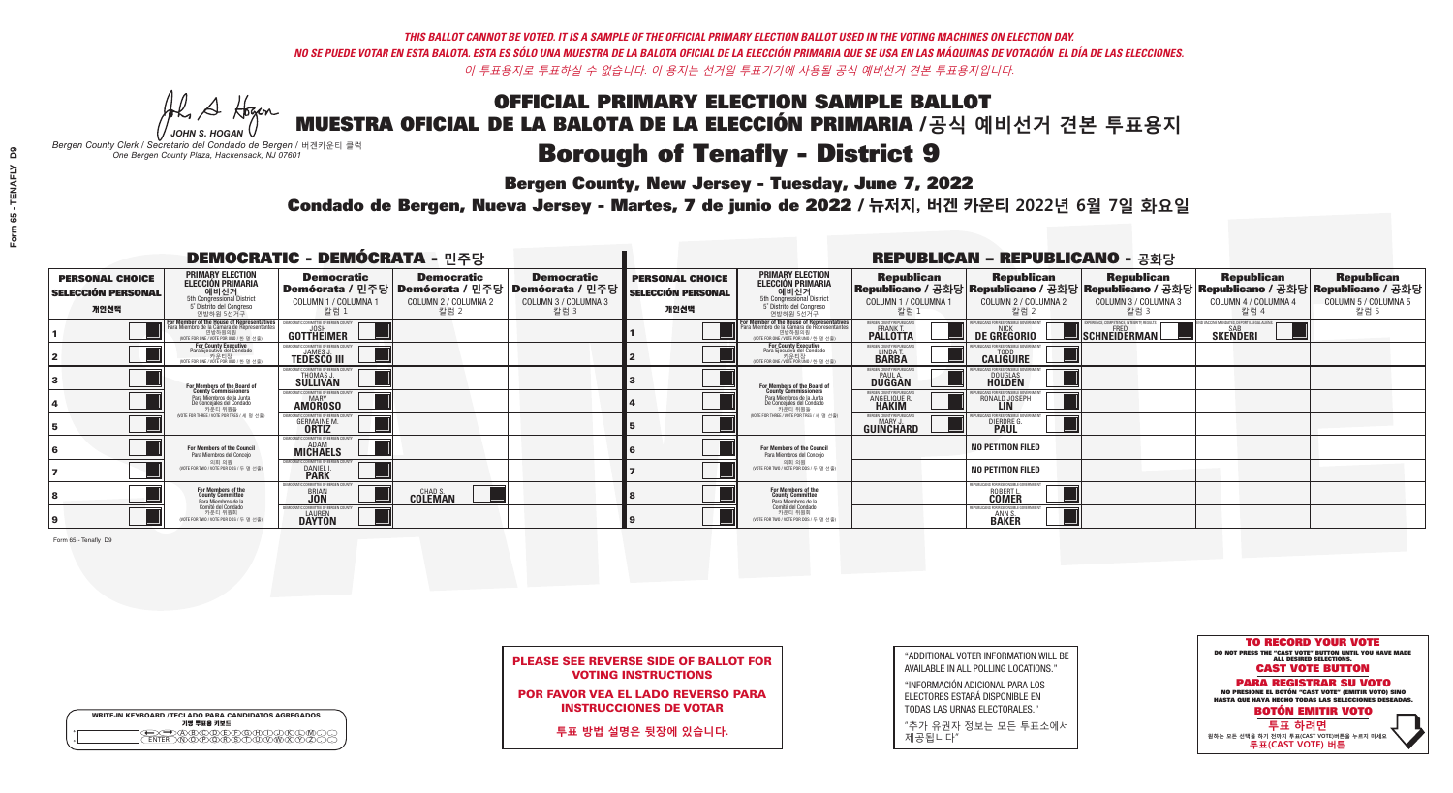**Bergen County, New Jersey - Tuesday, June 7, 2022** 

A Hogen *JOHN S. HOGAN*

| <b>WRITE-IN KEYBOARD /TECLADO PARA CANDIDATOS AGREGADOS</b><br>기명 투표용 키보드 |  |
|---------------------------------------------------------------------------|--|
| VBCODEXCORD<br>ዄ <u>ፙ፝፟፟</u> ቓሧ፝ዾቔጜዿ <sub>ዸ</sub>                         |  |

*Bergen County Clerk / Secretario del Condado de Bergen /* 버겐카운티 클럭 *One Bergen County Plaza, Hackensack, NJ 07601*

Condado de Bergen, Nueva Jersey - Martes, 7 de junio de 2022 / 뉴저지, 버겐 카운티 2022년 6월 7일 화요일 *One Bergen County Plaza, Hackensack, NJ 07601*



PLEASE SEE REVERSE SIDE OF BALLOT FOR VOTING INSTRUCTIONS

POR FAVOR VEA EL LADO REVERSO PARA INSTRUCCIONES DE VOTAR

**투표 방법 설명은 뒷장에 있습니다.**

"ADDITIONAL VOTER INFORMATION WILL BE AVAILABLE IN ALL POLLING LOCATIONS."

"INFORMACIÓN ADICIONAL PARA LOS ELECTORES ESTARÁ DISPONIBLE EN TODAS LAS URNAS ELECTORALES."

"추가 유권자 정보는 모든 투표소에서 제공됩니다"

| <b>DEMOCRATIC - DEMÓCRATA - 민주당</b>                         |                                                                                                                                        |                                                                                       |                                                   |                                                                        |                                                             |                                                                                                                                              |                                                                | <b>REPUBLICAN - REPUBLICANO - 공화당</b>               |                                                         |                                                                                                                                                |                                                   |
|-------------------------------------------------------------|----------------------------------------------------------------------------------------------------------------------------------------|---------------------------------------------------------------------------------------|---------------------------------------------------|------------------------------------------------------------------------|-------------------------------------------------------------|----------------------------------------------------------------------------------------------------------------------------------------------|----------------------------------------------------------------|-----------------------------------------------------|---------------------------------------------------------|------------------------------------------------------------------------------------------------------------------------------------------------|---------------------------------------------------|
| <b>PERSONAL CHOICE</b><br><b>SELECCIÓN PERSONAL</b><br>개인선택 | <b>PRIMARY ELECTION</b><br>ELECCIÓN PRIMARIA<br>예비선거<br><sub>5th Congressional District</sub><br>5° Distrito del Congreso<br>연방하원 5선거구 | <b>Democratic</b><br>│Demócrata / 민주당│Demócrata / 민주당<br>COLUMN 1 / COLUMNA 1<br>칼럼 1 | <b>Democratic</b><br>COLUMN 2 / COLUMNA 2<br>칼럼 2 | <b>Democratic</b><br>│Demócrata / 민주당│<br>COLUMN 3 / COLUMNA 3<br>칼럼 3 | <b>PERSONAL CHOICE</b><br><b>SELECCIÓN PERSONAL</b><br>개인선택 | <b>PRIMARY ELECTION</b><br>ELECCIÓN PRIMARIA<br>5th Congressional District<br>5° Distrito del Congreso<br>연방하원 5선거구                          | <b>Republican</b><br>COLUMN 1 / COLUMNA 1<br>칼럼 :              | <b>Republican</b><br>COLUMN 2 / COLUMNA 2<br>·칼럼 2  | <b>Republican</b><br>COLUMN 3 / COLUMNA 3<br>칼럼 3       | <b>Republican</b><br>Republicano / 공화당 Republicano / 공화당 Republicano / 공화당 Republicano / 공화당 Republicano / 공화당<br>COLUMN 4 / COLUMNA 4<br>칼럼 4 | <b>Republican</b><br>COLUMN 5 / COLUMNA 5<br>칼럼 5 |
|                                                             | For Member of the House of Representatives<br>Para Miembro de la Cámara de Representantes<br>(VOTE FOR ONE / VOTE POR UNO / 한 명 선출)    | DEMOCRATIC COMMITTEE OF BERGEN COUNTY<br><b>GOTTHEIMER</b>                            |                                                   |                                                                        |                                                             | For Member of the House of Representatives<br>Para Miembro de la Cámara de Representantes<br>연방하원의원<br>(VOTE FOR ONE / VOTE POR UNO / 한 명 선출 | BERGEN COUNTY REPUBLICANS<br><b>PALLOTTA</b>                   | DE GREGORIO                                         | ERIENCE, COMPETENCE, INTEGRITY, RESULTS<br>SCHNEIDERMAN | ID VACCINE MANDATES, DEPORT ILLEGAL ALIENS.<br><b>SKENDERI</b>                                                                                 |                                                   |
|                                                             | For County Executive<br>Para Ejecutivo del Condado<br>(VOTE FOR ONE / VOTE POR UNO / 한 명 선출)                                           | EMOCRATIC COMMITTEE OF BERGEN COUNTY<br><b>TEDESCO III</b>                            |                                                   |                                                                        |                                                             | <b>For County Executive</b><br>Para Ejecutivo del Condado<br>카운티장<br>(VOTE FOR ONE / VOTE POR UNO / 한 명 선출)                                  | BERGEN COUNTY REPUBLICAN<br>LINDA T.                           | <b>CALIGUIRE</b>                                    |                                                         |                                                                                                                                                |                                                   |
|                                                             | For Members of the Board of<br>County Commissioners                                                                                    | MOCRATIC COMMITTEE OF BERGEN COUNTY<br>THOMAS J.<br><b>SÜLLIVAN</b>                   |                                                   |                                                                        |                                                             | For Members of the Board of<br>County Commissioners                                                                                          | ERGEN COUNTY REPUBLICAN<br><b>DUGGAN</b>                       | <b>DOUGLAS</b>                                      |                                                         |                                                                                                                                                |                                                   |
|                                                             | Para Miembros de la Junta<br>De Concejales del Condado<br>카우티 위원들                                                                      | <b>EMOCRATIC COMMITTEE OF BERGEN COUNTY</b><br>MARY<br><b>AMOROSO</b>                 |                                                   |                                                                        |                                                             | Para Miembros de la Junta<br>De Concejales del Condado<br>카운티 위원들                                                                            | ERGEN COUNTY REPUBLICAN:<br><b>ANGELIQUE R</b><br><b>HAKIM</b> | RONALD JOSEPH                                       |                                                         |                                                                                                                                                |                                                   |
|                                                             | NOTE FOR THREE / VOTE POR TRES / 세 명 선출)                                                                                               | <b>DCRATIC COMMITTEE OF BERGEN COUNT</b><br><b>GERMAINE M.</b><br><b>ORTIZ</b>        |                                                   |                                                                        |                                                             | NOTE FOR THREE / VOTE POR TRES / 세 명 선출                                                                                                      | ERGEN COUNTY REPUBLICANS<br>MARY J.<br>GUINCHARD               | <b>DIERDRE (</b>                                    |                                                         |                                                                                                                                                |                                                   |
|                                                             | For Members of the Council<br>Para Miembros del Conceio                                                                                | MOCRATIC COMMITTEE OF BERGEN CO<br><b>MICHAELS</b>                                    |                                                   |                                                                        |                                                             | For Members of the Council<br>Para Miembros del Conceio                                                                                      |                                                                | <b>NO PETITION FILED</b>                            |                                                         |                                                                                                                                                |                                                   |
|                                                             | 의회 의원<br>(VOTE FOR TWO / VOTE POR DOS / 두 명 선출)                                                                                        | MOCRATIC COMMITTEE OF BERGEN COUNTY<br><b>DANIEL I.</b><br><b>PARK</b>                |                                                   |                                                                        |                                                             | 의회 의원<br>(VOTE FOR TWO / VOTE POR DOS / 두 명 선출)                                                                                              |                                                                | <b>NO PETITION FILED</b>                            |                                                         |                                                                                                                                                |                                                   |
|                                                             | For Members of the<br>County Committee<br>Para Miembros de la<br>Comité del Condado                                                    | MOCRATIC COMMITTEE OF BERGE<br><b>BRIAN</b>                                           | <b>CHAD S.</b><br><b>COLEMAN</b>                  |                                                                        |                                                             | For Members of the<br>County Committee<br>Para Miembros de la<br>Comité del Condado                                                          |                                                                | REPUBI ICANS FOR RESPONSIBI E GOVERNMEN<br>ROBERT L |                                                         |                                                                                                                                                |                                                   |
|                                                             | 카운티 위원회<br>(VOTE FOR TWO / VOTE POR DOS / 두 명 선출)                                                                                      | EMOCRATIC COMMITTEE OF BERGEN COUNTY<br><b>DAYTON</b>                                 |                                                   |                                                                        |                                                             | 카운티 위원회<br>(VOTE FOR TWO / VOTE POR DOS / 두 명 선출)                                                                                            |                                                                | REPUBLICANS FOR RESPONSIBLE<br>ANN S.<br>BAKER      |                                                         |                                                                                                                                                |                                                   |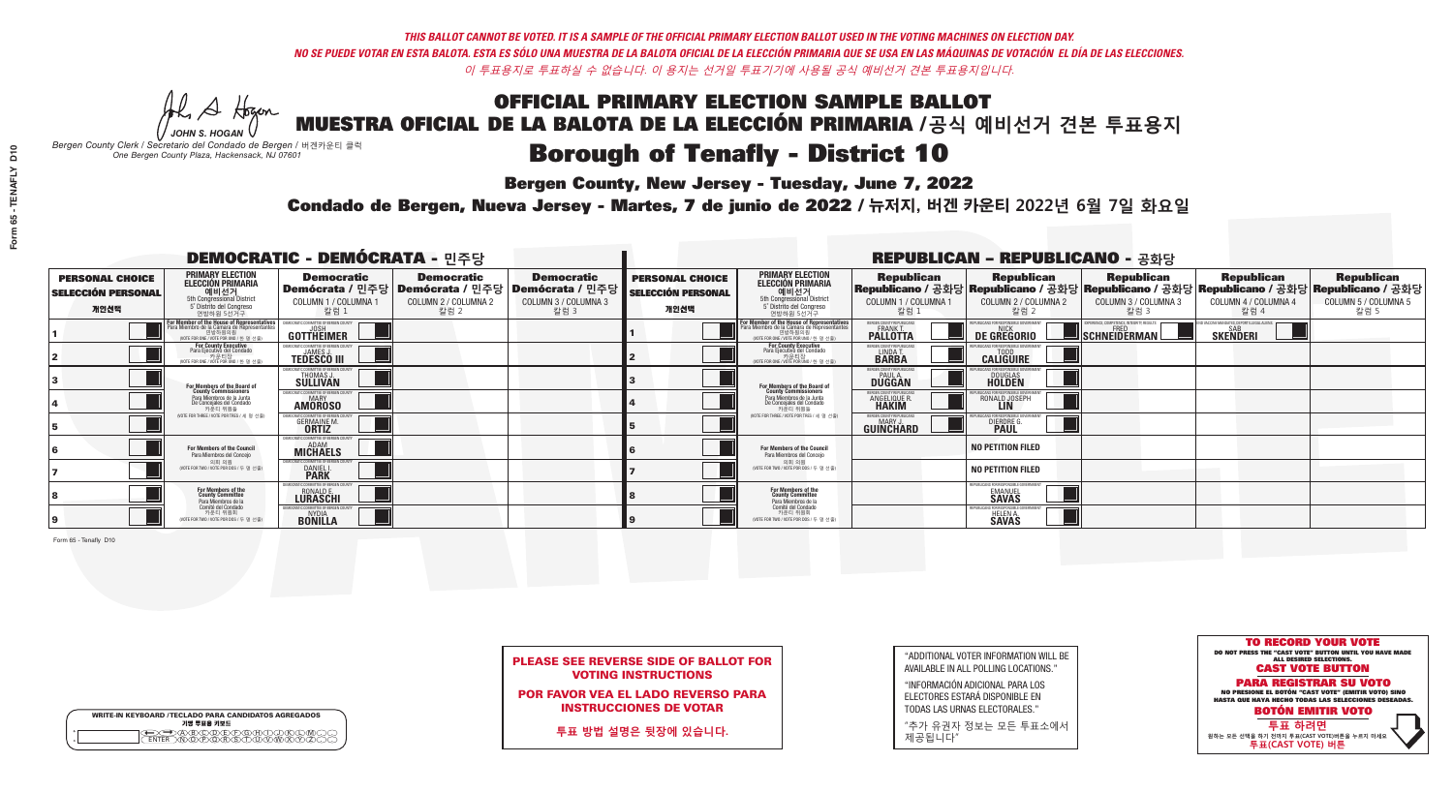**Bergen County, New Jersey - Tuesday, June 7, 2022** 

A Hogen *JOHN S. HOGAN*

| <b>WRITE-IN KEYBOARD /TECLADO PARA CANDIDATOS AGREGADOS</b><br>기명 투표용 키보드 |  |
|---------------------------------------------------------------------------|--|
| A)B)C)D)E)(F)(G)(H)(1<br><u>ጒ፝፟፟፟</u> ፟፝፟፟፟፝ዀ፝ዀ፝፟ዀ                        |  |

*Bergen County Clerk / Secretario del Condado de Bergen /* 버겐카운티 클럭 *One Bergen County Plaza, Hackensack, NJ 07601*



PLEASE SEE REVERSE SIDE OF BALLOT FOR VOTING INSTRUCTIONS

POR FAVOR VEA EL LADO REVERSO PARA INSTRUCCIONES DE VOTAR

**투표 방법 설명은 뒷장에 있습니다.**

"ADDITIONAL VOTER INFORMATION WILL BE AVAILABLE IN ALL POLLING LOCATIONS."

"INFORMACIÓN ADICIONAL PARA LOS ELECTORES ESTARÁ DISPONIBLE EN TODAS LAS URNAS ELECTORALES."

"추가 유권자 정보는 모든 투표소에서 제공됩니다"

Condado de Bergen, Nueva Jersey - Martes, 7 de junio de 2022 / 뉴저지, 버겐 카운티 2022년 6월 7일 화요일 *One Bergen County Plaza, Hackensack, NJ 07601*

| <b>DEMOCRATIC - DEMÓCRATA - 민주당</b>                         |                                                                                                                                                  |                                                                         |                                                   |                                                                                                        |                                                             |                                                                                                                                   |                                                              | <b>REPUBLICAN - REPUBLICANO - 공화당</b>                                                                                                          |                                                          |                                                            |                                                   |
|-------------------------------------------------------------|--------------------------------------------------------------------------------------------------------------------------------------------------|-------------------------------------------------------------------------|---------------------------------------------------|--------------------------------------------------------------------------------------------------------|-------------------------------------------------------------|-----------------------------------------------------------------------------------------------------------------------------------|--------------------------------------------------------------|------------------------------------------------------------------------------------------------------------------------------------------------|----------------------------------------------------------|------------------------------------------------------------|---------------------------------------------------|
| <b>PERSONAL CHOICE</b><br><b>SELECCIÓN PERSONAL</b><br>개인선택 | <b>PRIMARY ELECTION</b><br><b>ELECCIÓN PRIMARIA</b><br>예비선거<br>5th Congressional District<br>5° Distrito del Congreso<br>연방하원 5선거구               | <b>Democratic</b><br>COLUMN 1 / COLUMNA 1<br>칼럼 :                       | <b>Democratic</b><br>COLUMN 2 / COLUMNA 2<br>칼럼 2 | <b>Democratic</b><br>│Demócrata / 민주당│Demócrata / 민주당│Demócrata / 민주당┃<br>COLUMN 3 / COLUMNA 3<br>칼럼 3 | <b>PERSONAL CHOICE</b><br><b>SELECCIÓN PERSONAL</b><br>개인선택 | <b>PRIMARY ELECTION</b><br>ELECCIÓN PRIMARIA<br>예비선거<br>5th Congressional District<br>5° Distrito del Congreso<br>연방하원 5선거구       | <b>Republican</b><br>COLUMN 1 / COLUMNA 1<br>칼럼              | <b>Republican</b><br>Republicano / 공화당 Republicano / 공화당 Republicano / 공화당 Republicano / 공화당 Republicano / 공화당<br>COLUMN 2 / COLUMNA 2<br>칼럼 2 | <b>Republican</b><br>COLUMN 3 / COLUMNA 3<br>칼럼 3        | <b>Republican</b><br>COLUMN 4 / COLUMNA 4<br>칼럼 4          | <b>Republican</b><br>COLUMN 5 / COLUMNA 5<br>칼럼 5 |
|                                                             | <b>r Member of the House of Representatives</b><br>ra Miembro de la Cámara de Representantes<br>연방하원의원<br>(VOTE FOR ONE / VOTE POR UNO / 한 명 선출) | <b>GOTTHEIMER</b>                                                       |                                                   |                                                                                                        |                                                             | For Member of the House of Representatives<br>Para Miembro de la Cámara de Representantes<br>WOTE FOR ONE / VOTE POR UNO / 한 명 선출 | BERGEN COUNTY REPUBLICAN<br><b>PALLOTTA</b>                  | DE GREGORIO                                                                                                                                    | PERIENCE, COMPETENCE, INTEGRITY, RESULTS<br>SCHNEIDERMAN | VACCINE MANDATES, DEPORT ILLEGAL ALIENS<br><b>SKENDERI</b> |                                                   |
|                                                             | For County Executive<br>Para Ejecutivo del Condado<br>. 카운티장<br>(VOTE FOR ONE / VOTE POR UNO / 한 명 선출)                                           | <b>EMOCRATIC COMMITTEE OF BERGEN COUNT</b><br><b>TEDESCO III</b>        |                                                   |                                                                                                        |                                                             | For County Executive<br>Para Ejecutivo del Condado<br>카운티장<br>(VOTE FOR ONE / VOTE POR UNO / 한 명 선출)                              | BERGEN COUNTY REPUBLICAN<br>LINDA T.                         | <b>CALIGUIRE</b>                                                                                                                               |                                                          |                                                            |                                                   |
|                                                             | For Members of the Board of<br>County Commissioners                                                                                              | MOCRATIC COMMITTEE OF BERGEN COUNTY<br>THOMAS J.                        |                                                   |                                                                                                        |                                                             | For Members of the Board of<br>County Commissioners                                                                               | ERGEN COUNTY REPUBLICAN<br><b>DUGGAN</b>                     | <b>DOUGLAS</b>                                                                                                                                 |                                                          |                                                            |                                                   |
|                                                             | Para Miembros de la Junta<br>De Concejales del Condado<br>카운티 위원들                                                                                | MOCRATIC COMMITTEE OF BERGEN COUNTY<br><b>MARY</b><br><b>AMOROSO</b>    |                                                   |                                                                                                        |                                                             | Para Miembros de la Junta<br>De Concejales del Condado<br>카우티 위원들                                                                 | <b>RGEN COUNTY REPUBLICAN</b><br>ANGELIQUE F<br><b>HAKIM</b> | RONALD JOSEPH                                                                                                                                  |                                                          |                                                            |                                                   |
|                                                             | NOTE FOR THREE / VOTE POR TRES / 세 명 선출                                                                                                          | ATIC COMMITTEE OF BERGEN COUN<br><b>GERMAINE M.</b>                     |                                                   |                                                                                                        |                                                             | (VOTE FOR THREE / VOTE POR TRES / 세 명 선출)                                                                                         | ERGEN COUNTY REPUBLICANS<br>MARY J<br>GUINCHARD              | DIERDRE G                                                                                                                                      |                                                          |                                                            |                                                   |
|                                                             | For Members of the Council<br>Para Miembros del Conceio                                                                                          | EMOCRATIC COMMITTEE OF BERGEN COUNTY<br><b>MICHAELS</b>                 |                                                   |                                                                                                        |                                                             | <b>For Members of the Council</b><br>Para Miembros del Conceio                                                                    |                                                              | <b>NO PETITION FILED</b>                                                                                                                       |                                                          |                                                            |                                                   |
|                                                             | 의회 의원<br>(VOTE FOR TWO / VOTE POR DOS / 두 명 선출)                                                                                                  | EMOCRATIC COMMITTEE OF BERGEN COUNTY<br><b>DANIEL I.</b><br><b>PARK</b> |                                                   |                                                                                                        |                                                             | 의회 의원<br>NOTE FOR TWO / VOTE POR DOS / 두 명 선출)                                                                                    |                                                              | <b>NO PETITION FILED</b>                                                                                                                       |                                                          |                                                            |                                                   |
|                                                             | For Members of the<br>County Committee<br>Para Miembros de la                                                                                    | MOCRATIC COMMITTEE OF BERGE<br><b>RONALD E.</b><br><b>LURASCHI</b>      |                                                   |                                                                                                        |                                                             | For Members of the<br>County Committee<br>Para Miembros de la<br>Comité del Condado                                               |                                                              | EPUBLICANS FOR RESPONSIBLE GO'<br><b>SAVAS</b>                                                                                                 |                                                          |                                                            |                                                   |
|                                                             | Comité del Condado<br>카운티 위원회<br>(VOTE FOR TWO / VOTE POR DOS / 두 명 선출)                                                                          | MOCRATIC COMMITTEE OF BERGEN COUN<br><b>BONILLA</b>                     |                                                   |                                                                                                        |                                                             | 카운티 위원회<br>NOTE FOR TWO / VOTE POR DOS / 두 명 선출)                                                                                  |                                                              | PUBLICANS FOR RESPONSIBL<br><b>HELEN A.</b><br><b>SAVAS</b>                                                                                    |                                                          |                                                            |                                                   |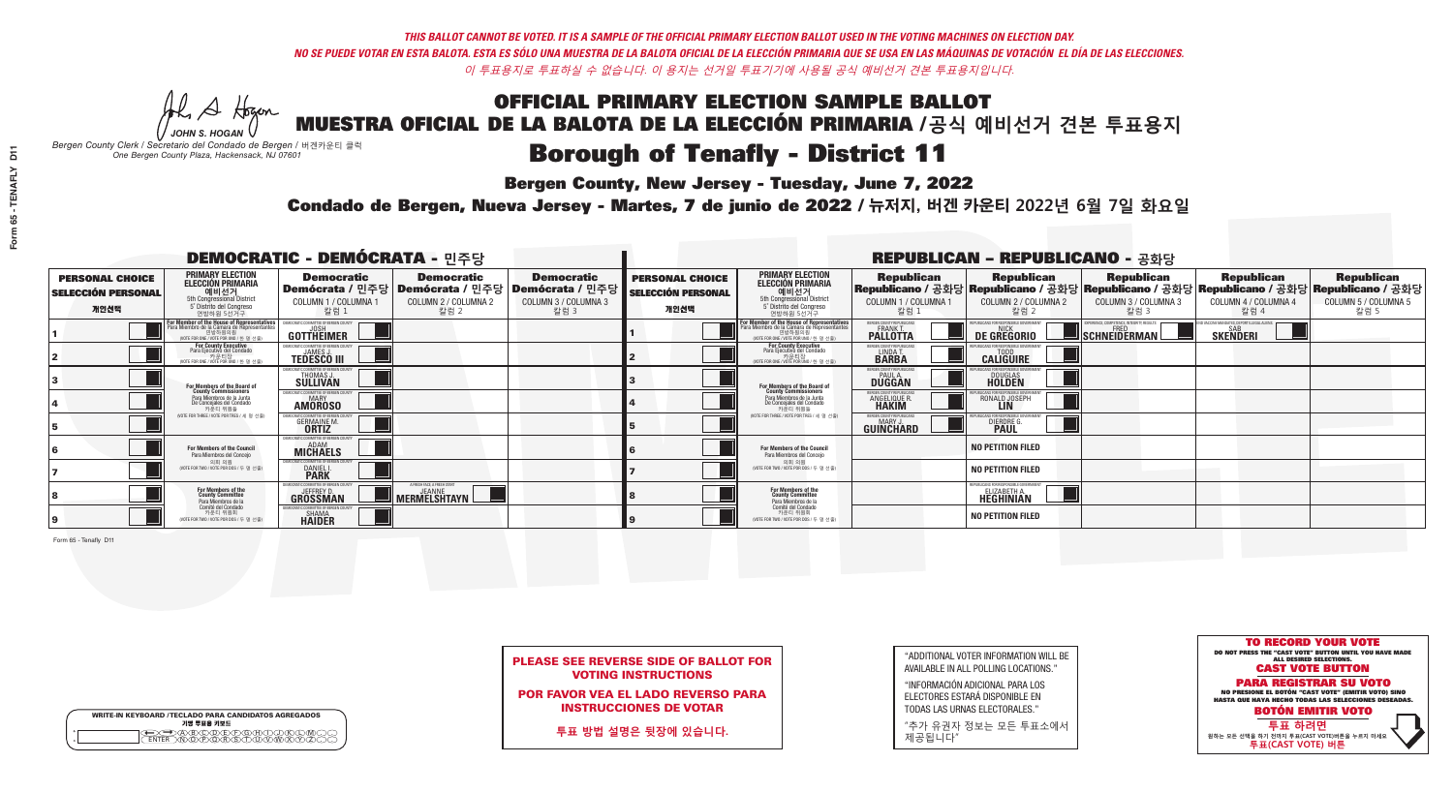**Bergen County, New Jersey - Tuesday, June 7, 2022** 

A Hogen *JOHN S. HOGAN*

| <b>WRITE-IN KEYBOARD /TECLADO PARA CANDIDATOS AGREGADOS</b><br>기명 투표용 키보드 |  |
|---------------------------------------------------------------------------|--|
| )BCDE/FG/A/D.<br><u> እንሰነ እንችለ</u>                                        |  |

*Bergen County Clerk / Secretario del Condado de Bergen /* 버겐카운티 클럭 *One Bergen County Plaza, Hackensack, NJ 07601*

Condado de Bergen, Nueva Jersey - Martes, 7 de junio de 2022 / 뉴저지, 버겐 카운티 2022년 6월 7일 화요일 *One Bergen County Plaza, Hackensack, NJ 07601*



PLEASE SEE REVERSE SIDE OF BALLOT FOR VOTING INSTRUCTIONS

POR FAVOR VEA EL LADO REVERSO PARA INSTRUCCIONES DE VOTAR

**투표 방법 설명은 뒷장에 있습니다.**

| "ADDITIONAL VOTER INFORMATION WILL BE |
|---------------------------------------|
| AVAILABLE IN ALL POLLING LOCATIONS."  |

"INFORMACIÓN ADICIONAL PARA LOS ELECTORES ESTARÁ DISPONIBLE EN TODAS LAS URNAS ELECTORALES."

"추가 유권자 정보는 모든 투표소에서 제공됩니다"

| <b>DEMOCRATIC - DEMÓCRATA - 민주당</b>                         |                                                                                                                                                       |                                                                                       |                                                   |                                                                      | <b>REPUBLICAN - REPUBLICANO - 공화당</b>                       |                                                                                                                                               |                                                                |                                                              |                                                        |                                                                                                                                                |                                                   |
|-------------------------------------------------------------|-------------------------------------------------------------------------------------------------------------------------------------------------------|---------------------------------------------------------------------------------------|---------------------------------------------------|----------------------------------------------------------------------|-------------------------------------------------------------|-----------------------------------------------------------------------------------------------------------------------------------------------|----------------------------------------------------------------|--------------------------------------------------------------|--------------------------------------------------------|------------------------------------------------------------------------------------------------------------------------------------------------|---------------------------------------------------|
| <b>PERSONAL CHOICE</b><br><b>SELECCIÓN PERSONAL</b><br>개인선택 | <b>PRIMARY ELECTION</b><br><b>ELECCIÓN PRIMARIA</b><br>예비선거<br><sup>5th</sup> Congressional District<br>5° Distrito del Congreso<br>연방하원 5선거구         | <b>Democratic</b><br>│Demócrata / 민주당│Demócrata / 민주당<br>COLUMN 1 / COLUMNA 1<br>칼럼 1 | <b>Democratic</b><br>COLUMN 2 / COLUMNA 2<br>칼럼 2 | <b>Democratic</b><br>Demócrata / 민주당<br>COLUMN 3 / COLUMNA 3<br>칼럼 3 | <b>PERSONAL CHOICE</b><br><b>SELECCIÓN PERSONAL</b><br>개인선택 | <b>PRIMARY ELECTION</b><br>ELECCIÓN PRIMARIA<br>예비선거<br>5th Congressional District<br>5° Distrito del Congreso<br>연방하원 5선거구                   | <b>Republican</b><br>COLUMN 1 / COLUMNA 1<br>칼럼 :              | <b>Republican</b><br>COLUMN 2 / COLUMNA 2<br>칼럼 2            | <b>Republican</b><br>COLUMN 3 / COLUMNA 3<br>칼럼 3      | <b>Republican</b><br>Republicano / 공화당 Republicano / 공화당 Republicano / 공화당 Republicano / 공화당 Republicano / 공화당<br>COLUMN 4 / COLUMNA 4<br>칼럼 4 | <b>Republican</b><br>COLUMN 5 / COLUMNA 5<br>칼럼 5 |
|                                                             | <b>For Member of the House of Representatives<br/>Para Miembro de la Cámara de Representantes</b><br>연방하원의원<br>(VOTE FOR ONE / VOTE POR UNO / 한 명 선출) | DEMOCRATIC COMMITTEE OF BERGEN COUNT<br>GOTTHEIMER                                    |                                                   |                                                                      |                                                             | For Member of the House of Representatives<br>Para Miembro de la Cámara de Representantes<br>연방하원의원<br>(VOTE FOR ONE / VOTE POR UNO / 한 명 선출) | BERGEN COUNTY REPUBLICAN!<br><b>PALLOTTA</b>                   | DE GREGORIO                                                  | RIENCE. COMPETENCE. INTEGRITY. RESULT:<br>SCHNEIDERMAN | D VACCINE MANDATES, DEPORT ILLEGAL ALIENS.<br><b>SKENDERI</b>                                                                                  |                                                   |
|                                                             | <b>For County Executive</b><br>Para Ejecutivo del Condado<br>. 카운티장<br>(VOTE FOR ONE / VOTE POR UNO / 한 명 선출)                                         | EMOCRATIC COMMITTEE OF BERGEN COUNTY<br><b>TEDESCO III</b>                            |                                                   |                                                                      |                                                             | <b>For County Executive</b><br>Para Ejecutivo del Condado<br>. 카운티장<br>(VOTE FOR ONE / VOTE POR UNO / 한 명 선출)                                 | BERGEN COUNTY REPUBLICAN<br>LINDA T.                           | <b>CALIGUIRE</b>                                             |                                                        |                                                                                                                                                |                                                   |
|                                                             | For Members of the Board of<br>County Commissioners                                                                                                   | MOCRATIC COMMITTEE OF BERGEN COUNTY<br>THOMAS J.                                      |                                                   |                                                                      |                                                             | For Members of the Board of<br>County Commissioners                                                                                           | ERGEN COUNTY REPUBLICAN<br><b>PAUL A.</b><br><b>DUGGAN</b>     | <b>DOUGLAS</b><br><b>HOLDEN</b>                              |                                                        |                                                                                                                                                |                                                   |
|                                                             | Para Miembros de la Junta<br>De Concejales del Condado<br>카우티 위원들                                                                                     | MOCRATIC COMMITTEE OF BERGEN COUNTY<br><b>AMOROSO</b>                                 |                                                   |                                                                      |                                                             | Para Miembros de la Junta<br>De Concejales del Condado<br>카운티 위원들                                                                             | ERGEN COUNTY REPUBLICAN:<br><b>ANGELIQUE R</b><br><b>HAKIM</b> | RONALD JOSEPH                                                |                                                        |                                                                                                                                                |                                                   |
|                                                             | (VOTE FOR THREE / VOTE POR TRES / 세 명 선출)                                                                                                             | <b>DCRATIC COMMITTEE OF BERGEN COUNT</b><br><b>GERMAINE M.</b><br><b>ORTIZ</b>        |                                                   |                                                                      |                                                             | (VOTE FOR THREE / VOTE POR TRES / 세 명 선출)                                                                                                     | BERGEN COUNTY REPUBLICANS<br>MARY J.<br>GUIÑCHARD              | DIERDRE                                                      |                                                        |                                                                                                                                                |                                                   |
|                                                             | <b>For Members of the Council</b><br>Para Miembros del Conceio                                                                                        | <b>EMOCRATIC COMMITTEE OF BERGEN COP</b><br><b>MICHAELS</b>                           |                                                   |                                                                      |                                                             | For Members of the Council<br>Para Miembros del Conceio                                                                                       |                                                                | <b>NO PETITION FILED</b>                                     |                                                        |                                                                                                                                                |                                                   |
|                                                             | 의회 의원<br>(VOTE FOR TWO / VOTE POR DOS / 두 명 선출)                                                                                                       | JEMOCRATIC COMMITTEE OF BERGEN COUNTY<br><b>DANIEL I.</b><br><b>PARK</b>              |                                                   |                                                                      |                                                             | 의회 의원<br>(VOTE FOR TWO / VOTE POR DOS / 두 명 선출)                                                                                               |                                                                | <b>NO PETITION FILED</b>                                     |                                                        |                                                                                                                                                |                                                   |
|                                                             | For Members of the<br>County Committee<br>Para Miembros de la<br>Comité del Condado                                                                   | MOCRATIC COMMITTEE OF BERGEN COUN<br><b>JEFFREY D</b><br><b>GROSSMAN</b>              | A FRESH FACE, A FRESH START<br>MERMELSHTAYN       |                                                                      |                                                             | For Members of the<br>County Committee<br>Para Miembros de la<br>Comité del Condado                                                           |                                                                | EPUBLICANS FOR RESPONSIBLE GOVERNMENT<br><b>ELIZABETH A.</b> |                                                        |                                                                                                                                                |                                                   |
|                                                             | 카운티 위원회<br>(VOTE FOR TWO / VOTE POR DOS / 두 명 선출)                                                                                                     | MOCRATIC COMMITTEE OF BERGEN COUNTY<br><b>SHAMA</b><br>HAIDER                         |                                                   |                                                                      |                                                             | 카운티 위원회<br>(VOTE FOR TWO / VOTE POR DOS / 두 명 선출)                                                                                             |                                                                | <b>NO PETITION FILED</b>                                     |                                                        |                                                                                                                                                |                                                   |